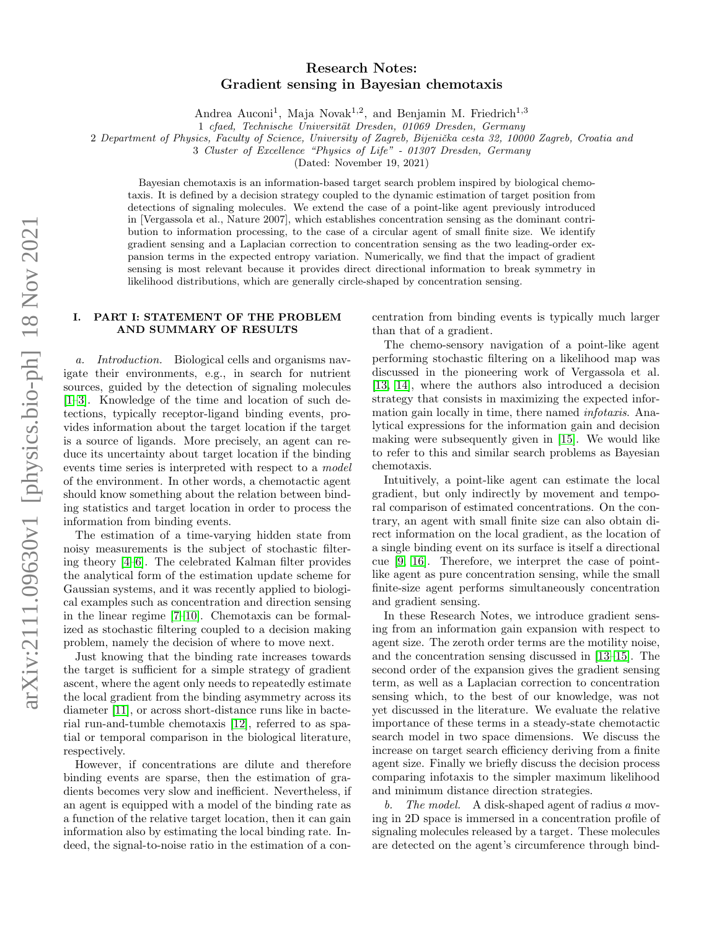# arXiv:2111.09630v1 [physics.bio-ph] 18 Nov 2021 arXiv:2111.09630v1 [physics.bio-ph] 18 Nov 2021

# Research Notes: Gradient sensing in Bayesian chemotaxis

Andrea Auconi<sup>1</sup>, Maja Novak<sup>1,2</sup>, and Benjamin M. Friedrich<sup>1,3</sup>

1 cfaed, Technische Universität Dresden, 01069 Dresden, Germany

2 Department of Physics, Faculty of Science, University of Zagreb, Bijenička cesta 32, 10000 Zagreb, Croatia and

3 Cluster of Excellence "Physics of Life" - 01307 Dresden, Germany

(Dated: November 19, 2021)

Bayesian chemotaxis is an information-based target search problem inspired by biological chemotaxis. It is defined by a decision strategy coupled to the dynamic estimation of target position from detections of signaling molecules. We extend the case of a point-like agent previously introduced in [Vergassola et al., Nature 2007], which establishes concentration sensing as the dominant contribution to information processing, to the case of a circular agent of small finite size. We identify gradient sensing and a Laplacian correction to concentration sensing as the two leading-order expansion terms in the expected entropy variation. Numerically, we find that the impact of gradient sensing is most relevant because it provides direct directional information to break symmetry in likelihood distributions, which are generally circle-shaped by concentration sensing.

# I. PART I: STATEMENT OF THE PROBLEM AND SUMMARY OF RESULTS

a. Introduction. Biological cells and organisms navigate their environments, e.g., in search for nutrient sources, guided by the detection of signaling molecules [\[1–](#page-14-0)[3\]](#page-14-1). Knowledge of the time and location of such detections, typically receptor-ligand binding events, provides information about the target location if the target is a source of ligands. More precisely, an agent can reduce its uncertainty about target location if the binding events time series is interpreted with respect to a model of the environment. In other words, a chemotactic agent should know something about the relation between binding statistics and target location in order to process the information from binding events.

The estimation of a time-varying hidden state from noisy measurements is the subject of stochastic filtering theory [\[4–](#page-14-2)[6\]](#page-14-3). The celebrated Kalman filter provides the analytical form of the estimation update scheme for Gaussian systems, and it was recently applied to biological examples such as concentration and direction sensing in the linear regime [\[7–](#page-14-4)[10\]](#page-14-5). Chemotaxis can be formalized as stochastic filtering coupled to a decision making problem, namely the decision of where to move next.

Just knowing that the binding rate increases towards the target is sufficient for a simple strategy of gradient ascent, where the agent only needs to repeatedly estimate the local gradient from the binding asymmetry across its diameter [\[11\]](#page-14-6), or across short-distance runs like in bacterial run-and-tumble chemotaxis [\[12\]](#page-14-7), referred to as spatial or temporal comparison in the biological literature, respectively.

However, if concentrations are dilute and therefore binding events are sparse, then the estimation of gradients becomes very slow and inefficient. Nevertheless, if an agent is equipped with a model of the binding rate as a function of the relative target location, then it can gain information also by estimating the local binding rate. Indeed, the signal-to-noise ratio in the estimation of a concentration from binding events is typically much larger than that of a gradient.

The chemo-sensory navigation of a point-like agent performing stochastic filtering on a likelihood map was discussed in the pioneering work of Vergassola et al. [\[13,](#page-14-8) [14\]](#page-14-9), where the authors also introduced a decision strategy that consists in maximizing the expected information gain locally in time, there named infotaxis. Analytical expressions for the information gain and decision making were subsequently given in [\[15\]](#page-14-10). We would like to refer to this and similar search problems as Bayesian chemotaxis.

Intuitively, a point-like agent can estimate the local gradient, but only indirectly by movement and temporal comparison of estimated concentrations. On the contrary, an agent with small finite size can also obtain direct information on the local gradient, as the location of a single binding event on its surface is itself a directional cue [\[9,](#page-14-11) [16\]](#page-14-12). Therefore, we interpret the case of pointlike agent as pure concentration sensing, while the small finite-size agent performs simultaneously concentration and gradient sensing.

In these Research Notes, we introduce gradient sensing from an information gain expansion with respect to agent size. The zeroth order terms are the motility noise, and the concentration sensing discussed in [\[13](#page-14-8)[–15\]](#page-14-10). The second order of the expansion gives the gradient sensing term, as well as a Laplacian correction to concentration sensing which, to the best of our knowledge, was not yet discussed in the literature. We evaluate the relative importance of these terms in a steady-state chemotactic search model in two space dimensions. We discuss the increase on target search efficiency deriving from a finite agent size. Finally we briefly discuss the decision process comparing infotaxis to the simpler maximum likelihood and minimum distance direction strategies.

b. The model. A disk-shaped agent of radius a moving in 2D space is immersed in a concentration profile of signaling molecules released by a target. These molecules are detected on the agent's circumference through bind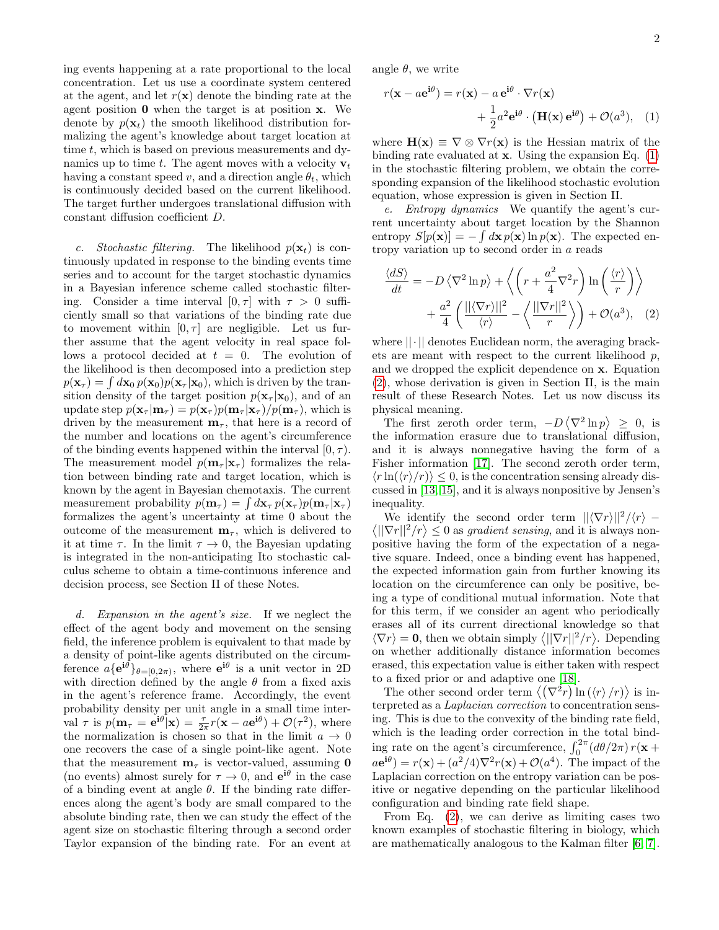ing events happening at a rate proportional to the local concentration. Let us use a coordinate system centered at the agent, and let  $r(\mathbf{x})$  denote the binding rate at the agent position 0 when the target is at position x. We denote by  $p(\mathbf{x}_t)$  the smooth likelihood distribution formalizing the agent's knowledge about target location at time  $t$ , which is based on previous measurements and dynamics up to time t. The agent moves with a velocity  $v_t$ having a constant speed v, and a direction angle  $\theta_t$ , which is continuously decided based on the current likelihood. The target further undergoes translational diffusion with constant diffusion coefficient D.

c. Stochastic filtering. The likelihood  $p(\mathbf{x}_t)$  is continuously updated in response to the binding events time series and to account for the target stochastic dynamics in a Bayesian inference scheme called stochastic filtering. Consider a time interval  $[0, \tau]$  with  $\tau > 0$  sufficiently small so that variations of the binding rate due to movement within  $[0, \tau]$  are negligible. Let us further assume that the agent velocity in real space follows a protocol decided at  $t = 0$ . The evolution of the likelihood is then decomposed into a prediction step  $p(\mathbf{x}_{\tau}) = \int d\mathbf{x}_0 p(\mathbf{x}_0) p(\mathbf{x}_{\tau} | \mathbf{x}_0)$ , which is driven by the transition density of the target position  $p(\mathbf{x}_{\tau} | \mathbf{x}_0)$ , and of an update step  $p(\mathbf{x}_{\tau} | \mathbf{m}_{\tau}) = p(\mathbf{x}_{\tau})p(\mathbf{m}_{\tau} | \mathbf{x}_{\tau})/p(\mathbf{m}_{\tau}),$  which is driven by the measurement  $\mathbf{m}_{\tau}$ , that here is a record of the number and locations on the agent's circumference of the binding events happened within the interval  $[0, \tau)$ . The measurement model  $p(\mathbf{m}_{\tau}|\mathbf{x}_{\tau})$  formalizes the relation between binding rate and target location, which is known by the agent in Bayesian chemotaxis. The current measurement probability  $p(\mathbf{m}_{\tau}) = \int d\mathbf{x}_{\tau} p(\mathbf{x}_{\tau}) p(\mathbf{m}_{\tau} | \mathbf{x}_{\tau})$ formalizes the agent's uncertainty at time 0 about the outcome of the measurement  $\mathbf{m}_{\tau}$ , which is delivered to it at time  $\tau$ . In the limit  $\tau \to 0$ , the Bayesian updating is integrated in the non-anticipating Ito stochastic calculus scheme to obtain a time-continuous inference and decision process, see Section II of these Notes.

d. Expansion in the agent's size. If we neglect the effect of the agent body and movement on the sensing field, the inference problem is equivalent to that made by a density of point-like agents distributed on the circumference  $a\{e^{i\theta}\}_{\theta=[0,2\pi)}$ , where  $e^{i\theta}$  is a unit vector in 2D with direction defined by the angle  $\theta$  from a fixed axis in the agent's reference frame. Accordingly, the event probability density per unit angle in a small time interval  $\tau$  is  $p(\mathbf{m}_{\tau} = \mathbf{e}^{\mathbf{i}\theta}|\mathbf{x}) = \frac{\tau}{2\pi}r(\mathbf{x} - a\mathbf{e}^{\mathbf{i}\theta}) + \mathcal{O}(\tau^2)$ , where the normalization is chosen so that in the limit  $a \to 0$ one recovers the case of a single point-like agent. Note that the measurement  $\mathbf{m}_{\tau}$  is vector-valued, assuming 0 (no events) almost surely for  $\tau \to 0$ , and  $e^{i\theta}$  in the case of a binding event at angle  $\theta$ . If the binding rate differences along the agent's body are small compared to the absolute binding rate, then we can study the effect of the agent size on stochastic filtering through a second order Taylor expansion of the binding rate. For an event at

angle  $\theta$ , we write

<span id="page-1-0"></span>
$$
r(\mathbf{x} - a\mathbf{e}^{\mathbf{i}\theta}) = r(\mathbf{x}) - a\mathbf{e}^{\mathbf{i}\theta} \cdot \nabla r(\mathbf{x})
$$

$$
+ \frac{1}{2}a^2\mathbf{e}^{\mathbf{i}\theta} \cdot (\mathbf{H}(\mathbf{x})\mathbf{e}^{\mathbf{i}\theta}) + \mathcal{O}(a^3), \quad (1)
$$

where  $\mathbf{H}(\mathbf{x}) \equiv \nabla \otimes \nabla r(\mathbf{x})$  is the Hessian matrix of the binding rate evaluated at  $x$ . Using the expansion Eq.  $(1)$ in the stochastic filtering problem, we obtain the corresponding expansion of the likelihood stochastic evolution equation, whose expression is given in Section II.

e. Entropy dynamics We quantify the agent's current uncertainty about target location by the Shannon entropy  $S[p(\mathbf{x})] = -\int d\mathbf{x} p(\mathbf{x}) \ln p(\mathbf{x})$ . The expected entropy variation up to second order in a reads

<span id="page-1-1"></span>
$$
\frac{\langle dS \rangle}{dt} = -D \langle \nabla^2 \ln p \rangle + \left\langle \left( r + \frac{a^2}{4} \nabla^2 r \right) \ln \left( \frac{\langle r \rangle}{r} \right) \right\rangle + \frac{a^2}{4} \left( \frac{\langle |\langle \nabla r \rangle|^2}{\langle r \rangle} - \left\langle \frac{\langle |\nabla r||^2}{r} \right\rangle \right) + \mathcal{O}(a^3), \quad (2)
$$

where  $||\cdot||$  denotes Euclidean norm, the averaging brackets are meant with respect to the current likelihood  $p$ , and we dropped the explicit dependence on x. Equation [\(2\)](#page-1-1), whose derivation is given in Section II, is the main result of these Research Notes. Let us now discuss its physical meaning.

The first zeroth order term,  $-D\langle \nabla^2 \ln p \rangle \geq 0$ , is the information erasure due to translational diffusion, and it is always nonnegative having the form of a Fisher information [\[17\]](#page-14-13). The second zeroth order term,  $\langle r \ln(\langle r \rangle/r) \rangle \leq 0$ , is the concentration sensing already discussed in [\[13,](#page-14-8) [15\]](#page-14-10), and it is always nonpositive by Jensen's inequality.

We identify the second order term  $||\langle \nabla r \rangle||^2 / \langle r \rangle$  –  $\langle ||\nabla r||^2/r \rangle \leq 0$  as *gradient sensing*, and it is always nonpositive having the form of the expectation of a negative square. Indeed, once a binding event has happened, the expected information gain from further knowing its location on the circumference can only be positive, being a type of conditional mutual information. Note that for this term, if we consider an agent who periodically erases all of its current directional knowledge so that  $\langle \nabla r \rangle = \mathbf{0}$ , then we obtain simply  $\langle ||\nabla r||^2/r \rangle$ . Depending on whether additionally distance information becomes erased, this expectation value is either taken with respect to a fixed prior or and adaptive one [\[18\]](#page-14-14).

The other second order term  $\langle (\nabla^2 r) \ln (\langle r \rangle /r) \rangle$  is interpreted as a Laplacian correction to concentration sensing. This is due to the convexity of the binding rate field, which is the leading order correction in the total binding rate on the agent's circumference,  $\int_0^{2\pi} (d\theta/2\pi) r(\mathbf{x} +$  $a\mathbf{e}^{\mathbf{i}\theta} = r(\mathbf{x}) + (a^2/4)\nabla^2 r(\mathbf{x}) + \mathcal{O}(a^4)$ . The impact of the Laplacian correction on the entropy variation can be positive or negative depending on the particular likelihood configuration and binding rate field shape.

From Eq. [\(2\)](#page-1-1), we can derive as limiting cases two known examples of stochastic filtering in biology, which are mathematically analogous to the Kalman filter [\[6,](#page-14-3) [7\]](#page-14-4).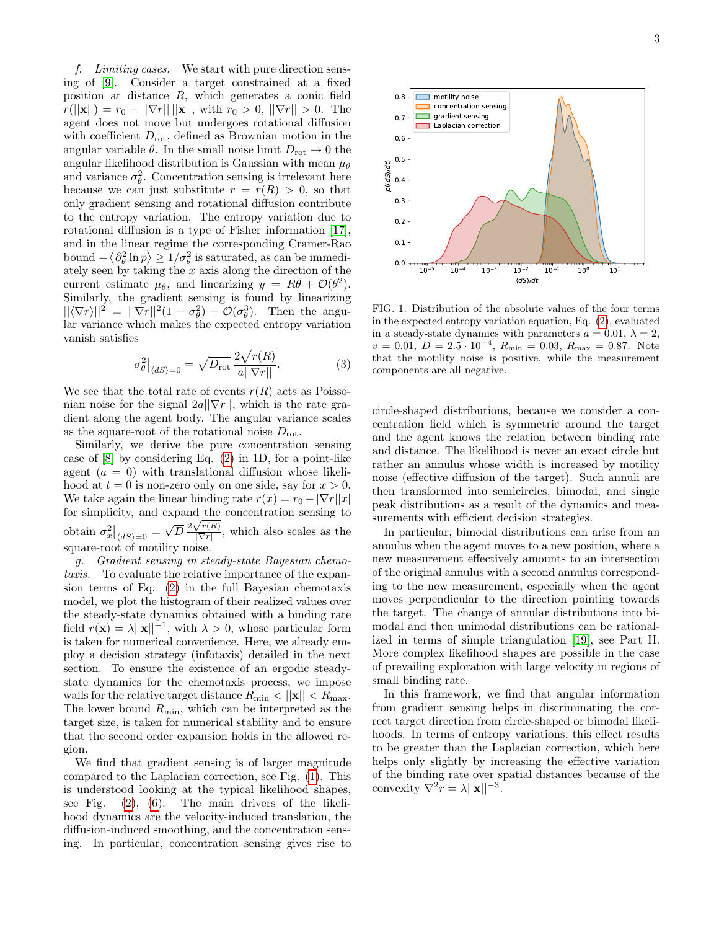f. Limiting cases. We start with pure direction sensing of [\[9\]](#page-14-11). Consider a target constrained at a fixed position at distance R, which generates a conic field  $r(||\mathbf{x}||) = r_0 - ||\nabla r|| ||\mathbf{x}||$ , with  $r_0 > 0$ ,  $||\nabla r|| > 0$ . The agent does not move but undergoes rotational diffusion with coefficient  $D_{\text{rot}}$ , defined as Brownian motion in the angular variable  $\theta$ . In the small noise limit  $D_{\text{rot}} \rightarrow 0$  the angular likelihood distribution is Gaussian with mean  $\mu_{\theta}$ and variance  $\sigma_{\theta}^2$ . Concentration sensing is irrelevant here because we can just substitute  $r = r(R) > 0$ , so that only gradient sensing and rotational diffusion contribute to the entropy variation. The entropy variation due to rotational diffusion is a type of Fisher information [\[17\]](#page-14-13), and in the linear regime the corresponding Cramer-Rao bound  $-\langle \partial_{\theta}^{2} \ln p \rangle \geq 1/\sigma_{\theta}^{2}$  is saturated, as can be immediately seen by taking the  $x$  axis along the direction of the current estimate  $\mu_{\theta}$ , and linearizing  $y = R\theta + \mathcal{O}(\theta^2)$ . Similarly, the gradient sensing is found by linearizing  $||\langle \nabla r \rangle||^2 = ||\nabla r||^2 (1 - \sigma_\theta^2) + \mathcal{O}(\sigma_\theta^3)$ . Then the angular variance which makes the expected entropy variation vanish satisfies

$$
\sigma_{\theta}^2\big|_{\langle dS \rangle = 0} = \sqrt{D_{\rm rot}} \frac{2\sqrt{r(R)}}{a||\nabla r||}.\tag{3}
$$

We see that the total rate of events  $r(R)$  acts as Poissonian noise for the signal  $2a||\nabla r||$ , which is the rate gradient along the agent body. The angular variance scales as the square-root of the rotational noise  $D_{\text{rot}}$ .

Similarly, we derive the pure concentration sensing case of [\[8\]](#page-14-15) by considering Eq. [\(2\)](#page-1-1) in 1D, for a point-like agent  $(a = 0)$  with translational diffusion whose likelihood at  $t = 0$  is non-zero only on one side, say for  $x > 0$ . We take again the linear binding rate  $r(x) = r_0 - |\nabla r||x|$ for simplicity, and expand the concentration sensing to obtain  $\sigma_x^2|_{\langle dS \rangle = 0}$  = √ pand the<br> $\overline{D} \frac{2\sqrt{r(R)}}{|\nabla r|}$  $\frac{\sqrt{r(n)}}{|\nabla r|}$ , which also scales as the square-root of motility noise.

g. Gradient sensing in steady-state Bayesian chemotaxis. To evaluate the relative importance of the expansion terms of Eq. [\(2\)](#page-1-1) in the full Bayesian chemotaxis model, we plot the histogram of their realized values over the steady-state dynamics obtained with a binding rate field  $r(\mathbf{x}) = \lambda ||\mathbf{x}||^{-1}$ , with  $\lambda > 0$ , whose particular form is taken for numerical convenience. Here, we already employ a decision strategy (infotaxis) detailed in the next section. To ensure the existence of an ergodic steadystate dynamics for the chemotaxis process, we impose walls for the relative target distance  $R_{\min} < ||\mathbf{x}|| < R_{\max}$ . The lower bound  $R_{\text{min}}$ , which can be interpreted as the target size, is taken for numerical stability and to ensure that the second order expansion holds in the allowed region.

We find that gradient sensing is of larger magnitude compared to the Laplacian correction, see Fig. [\(1\)](#page-2-0). This is understood looking at the typical likelihood shapes, see Fig. [\(2\)](#page-3-0), [\(6\)](#page-14-16). The main drivers of the likelihood dynamics are the velocity-induced translation, the diffusion-induced smoothing, and the concentration sensing. In particular, concentration sensing gives rise to



<span id="page-2-0"></span>FIG. 1. Distribution of the absolute values of the four terms in the expected entropy variation equation, Eq. [\(2\)](#page-1-1), evaluated in a steady-state dynamics with parameters  $a = 0.01, \lambda = 2$ ,  $v = 0.01, D = 2.5 \cdot 10^{-4}, R_{\text{min}} = 0.03, R_{\text{max}} = 0.87.$  Note that the motility noise is positive, while the measurement components are all negative.

circle-shaped distributions, because we consider a concentration field which is symmetric around the target and the agent knows the relation between binding rate and distance. The likelihood is never an exact circle but rather an annulus whose width is increased by motility noise (effective diffusion of the target). Such annuli are then transformed into semicircles, bimodal, and single peak distributions as a result of the dynamics and measurements with efficient decision strategies.

In particular, bimodal distributions can arise from an annulus when the agent moves to a new position, where a new measurement effectively amounts to an intersection of the original annulus with a second annulus corresponding to the new measurement, especially when the agent moves perpendicular to the direction pointing towards the target. The change of annular distributions into bimodal and then unimodal distributions can be rationalized in terms of simple triangulation [\[19\]](#page-14-17), see Part II. More complex likelihood shapes are possible in the case of prevailing exploration with large velocity in regions of small binding rate.

In this framework, we find that angular information from gradient sensing helps in discriminating the correct target direction from circle-shaped or bimodal likelihoods. In terms of entropy variations, this effect results to be greater than the Laplacian correction, which here helps only slightly by increasing the effective variation of the binding rate over spatial distances because of the convexity  $\nabla^2 r = \lambda ||\mathbf{x}||^{-3}$ .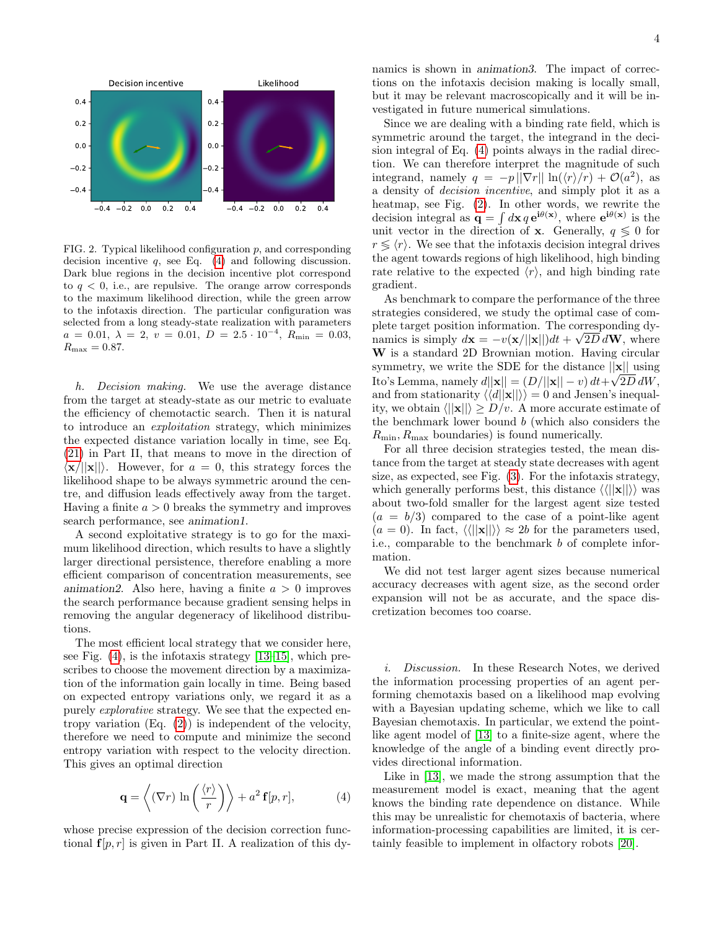

<span id="page-3-0"></span>FIG. 2. Typical likelihood configuration p, and corresponding decision incentive  $q$ , see Eq.  $(4)$  and following discussion. Dark blue regions in the decision incentive plot correspond to  $q \leq 0$ , i.e., are repulsive. The orange arrow corresponds to the maximum likelihood direction, while the green arrow to the infotaxis direction. The particular configuration was selected from a long steady-state realization with parameters  $a = 0.01, \ \lambda = 2, \ v = 0.01, \ D = 2.5 \cdot 10^{-4}, \ R_{\text{min}} = 0.03,$  $R_{\text{max}} = 0.87.$ 

h. Decision making. We use the average distance from the target at steady-state as our metric to evaluate the efficiency of chemotactic search. Then it is natural to introduce an exploitation strategy, which minimizes the expected distance variation locally in time, see Eq. [\(21\)](#page-7-0) in Part II, that means to move in the direction of  $\langle \mathbf{x}/||\mathbf{x}||$ . However, for  $a = 0$ , this strategy forces the likelihood shape to be always symmetric around the centre, and diffusion leads effectively away from the target. Having a finite  $a > 0$  breaks the symmetry and improves search performance, see animation1.

A second exploitative strategy is to go for the maximum likelihood direction, which results to have a slightly larger directional persistence, therefore enabling a more efficient comparison of concentration measurements, see animation2. Also here, having a finite  $a > 0$  improves the search performance because gradient sensing helps in removing the angular degeneracy of likelihood distributions.

The most efficient local strategy that we consider here, see Fig. [\(4\)](#page-13-0), is the infotaxis strategy [\[13–](#page-14-8)[15\]](#page-14-10), which prescribes to choose the movement direction by a maximization of the information gain locally in time. Being based on expected entropy variations only, we regard it as a purely explorative strategy. We see that the expected entropy variation (Eq. [\(2\)](#page-1-1)) is independent of the velocity, therefore we need to compute and minimize the second entropy variation with respect to the velocity direction. This gives an optimal direction

<span id="page-3-1"></span>
$$
\mathbf{q} = \left\langle (\nabla r) \ln \left( \frac{\langle r \rangle}{r} \right) \right\rangle + a^2 \mathbf{f}[p, r], \tag{4}
$$

whose precise expression of the decision correction functional  $f[p, r]$  is given in Part II. A realization of this dynamics is shown in animation3. The impact of corrections on the infotaxis decision making is locally small, but it may be relevant macroscopically and it will be investigated in future numerical simulations.

Since we are dealing with a binding rate field, which is symmetric around the target, the integrand in the decision integral of Eq. [\(4\)](#page-3-1) points always in the radial direction. We can therefore interpret the magnitude of such integrand, namely  $q = -p ||\nabla r|| \ln(\langle r \rangle/r) + \mathcal{O}(a^2)$ , as a density of decision incentive, and simply plot it as a heatmap, see Fig. [\(2\)](#page-3-0). In other words, we rewrite the decision integral as  $\mathbf{q} = \int d\mathbf{x} q \, \mathbf{e}^{i\theta(\mathbf{x})}$ , where  $\mathbf{e}^{i\theta(\mathbf{x})}$  is the unit vector in the direction of **x**. Generally,  $q \leq 0$  for  $r \leq \langle r \rangle$ . We see that the infotaxis decision integral drives the agent towards regions of high likelihood, high binding rate relative to the expected  $\langle r \rangle$ , and high binding rate gradient.

As benchmark to compare the performance of the three strategies considered, we study the optimal case of complete target position information. The corresponding dynamics is simply  $d\mathbf{x} = -v(\mathbf{x}/||\mathbf{x}||)dt + \sqrt{2D}d\mathbf{W}$ , where W is a standard 2D Brownian motion. Having circular symmetry, we write the SDE for the distance  $||\mathbf{x}||$  using Ito's Lemma, namely  $d||\mathbf{x}|| = (D/||\mathbf{x}|| - v) dt + \sqrt{2D} dW$ , and from stationarity  $\langle \langle d||\mathbf{x}|| \rangle \rangle = 0$  and Jensen's inequality, we obtain  $\langle ||\mathbf{x}|| \rangle > D/v$ . A more accurate estimate of the benchmark lower bound b (which also considers the  $R_{\text{min}}$ ,  $R_{\text{max}}$  boundaries) is found numerically.

For all three decision strategies tested, the mean distance from the target at steady state decreases with agent size, as expected, see Fig. [\(3\)](#page-4-0). For the infotaxis strategy, which generally performs best, this distance  $\langle \langle ||\mathbf{x}|| \rangle \rangle$  was about two-fold smaller for the largest agent size tested  $(a = b/3)$  compared to the case of a point-like agent  $(a = 0)$ . In fact,  $\langle \langle ||\mathbf{x}|| \rangle \rangle \approx 2b$  for the parameters used, i.e., comparable to the benchmark b of complete information.

We did not test larger agent sizes because numerical accuracy decreases with agent size, as the second order expansion will not be as accurate, and the space discretization becomes too coarse.

i. Discussion. In these Research Notes, we derived the information processing properties of an agent performing chemotaxis based on a likelihood map evolving with a Bayesian updating scheme, which we like to call Bayesian chemotaxis. In particular, we extend the pointlike agent model of [\[13\]](#page-14-8) to a finite-size agent, where the knowledge of the angle of a binding event directly provides directional information.

Like in [\[13\]](#page-14-8), we made the strong assumption that the measurement model is exact, meaning that the agent knows the binding rate dependence on distance. While this may be unrealistic for chemotaxis of bacteria, where information-processing capabilities are limited, it is certainly feasible to implement in olfactory robots [\[20\]](#page-14-18).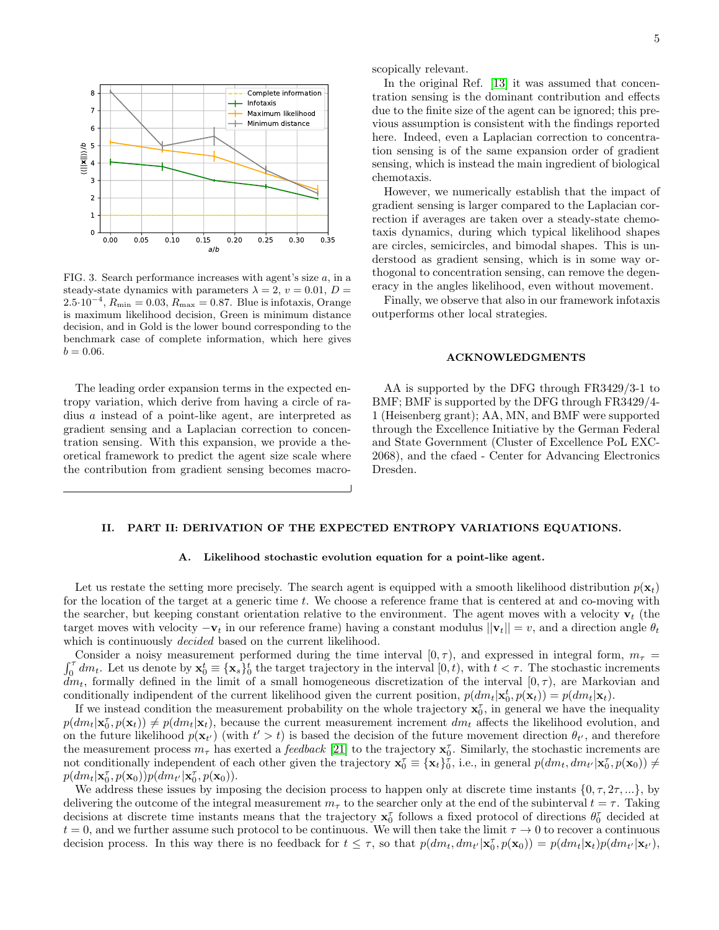

<span id="page-4-0"></span>FIG. 3. Search performance increases with agent's size  $a$ , in a steady-state dynamics with parameters  $\lambda = 2, v = 0.01, D =$  $2.5 \cdot 10^{-4}$ ,  $R_{\min} = 0.03$ ,  $R_{\max} = 0.87$ . Blue is infotaxis, Orange is maximum likelihood decision, Green is minimum distance decision, and in Gold is the lower bound corresponding to the benchmark case of complete information, which here gives  $b = 0.06$ .

The leading order expansion terms in the expected entropy variation, which derive from having a circle of radius a instead of a point-like agent, are interpreted as gradient sensing and a Laplacian correction to concentration sensing. With this expansion, we provide a theoretical framework to predict the agent size scale where the contribution from gradient sensing becomes macroscopically relevant.

In the original Ref. [\[13\]](#page-14-8) it was assumed that concentration sensing is the dominant contribution and effects due to the finite size of the agent can be ignored; this previous assumption is consistent with the findings reported here. Indeed, even a Laplacian correction to concentration sensing is of the same expansion order of gradient sensing, which is instead the main ingredient of biological chemotaxis.

However, we numerically establish that the impact of gradient sensing is larger compared to the Laplacian correction if averages are taken over a steady-state chemotaxis dynamics, during which typical likelihood shapes are circles, semicircles, and bimodal shapes. This is understood as gradient sensing, which is in some way orthogonal to concentration sensing, can remove the degeneracy in the angles likelihood, even without movement.

Finally, we observe that also in our framework infotaxis outperforms other local strategies.

## ACKNOWLEDGMENTS

AA is supported by the DFG through FR3429/3-1 to BMF; BMF is supported by the DFG through FR3429/4- 1 (Heisenberg grant); AA, MN, and BMF were supported through the Excellence Initiative by the German Federal and State Government (Cluster of Excellence PoL EXC-2068), and the cfaed - Center for Advancing Electronics Dresden.

# II. PART II: DERIVATION OF THE EXPECTED ENTROPY VARIATIONS EQUATIONS.

### A. Likelihood stochastic evolution equation for a point-like agent.

Let us restate the setting more precisely. The search agent is equipped with a smooth likelihood distribution  $p(\mathbf{x}_t)$ for the location of the target at a generic time t. We choose a reference frame that is centered at and co-moving with the searcher, but keeping constant orientation relative to the environment. The agent moves with a velocity  $v_t$  (the target moves with velocity  $-\mathbf{v}_t$  in our reference frame) having a constant modulus  $||\mathbf{v}_t|| = v$ , and a direction angle  $\theta_t$ which is continuously *decided* based on the current likelihood.

 $\int_{0}^{T}$ Consider a noisy measurement performed during the time interval  $[0, \tau)$ , and expressed in integral form,  $m_{\tau}$  $\mathbf{v}_0^{\tau}$  dm<sub>t</sub>. Let us denote by  $\mathbf{x}_0^t \equiv {\mathbf{x}_s}_{0}^t$  the target trajectory in the interval  $[0, t)$ , with  $t < \tau$ . The stochastic increments  $\dim_t$ , formally defined in the limit of a small homogeneous discretization of the interval  $[0, \tau)$ , are Markovian and conditionally indipendent of the current likelihood given the current position,  $p(dm_t|\mathbf{x}_t, p(\mathbf{x}_t)) = p(dm_t|\mathbf{x}_t)$ .

If we instead condition the measurement probability on the whole trajectory  $\mathbf{x}_0^{\tau}$ , in general we have the inequality  $p(dm_t|\mathbf{x}_0^{\tau}, p(\mathbf{x}_t)) \neq p(dm_t|\mathbf{x}_t)$ , because the current measurement increment  $dm_t$  affects the likelihood evolution, and on the future likelihood  $p(\mathbf{x}_{t'})$  (with  $t' > t$ ) is based the decision of the future movement direction  $\theta_{t'}$ , and therefore the measurement process  $m_{\tau}$  has exerted a *feedback* [\[21\]](#page-15-0) to the trajectory  $\mathbf{x}_0^{\tau}$ . Similarly, the stochastic increments are not conditionally independent of each other given the trajectory  $\mathbf{x}_0^{\tau} \equiv {\mathbf{x}_t}_{0}^{\tau}$ , i.e., in general  $p(dm_t, dm_{t'}|\mathbf{x}_0^{\tau}, p(\mathbf{x}_0)) \neq$  $p(dm_t|\mathbf{x}_0^{\tau}, p(\mathbf{x}_0))p(dm_{t'}|\mathbf{x}_0^{\tau}, p(\mathbf{x}_0)).$ 

We address these issues by imposing the decision process to happen only at discrete time instants  $\{0, \tau, 2\tau, ...\}$ , by delivering the outcome of the integral measurement  $m<sub>\tau</sub>$  to the searcher only at the end of the subinterval  $t = \tau$ . Taking decisions at discrete time instants means that the trajectory  $x_0^{\tau}$  follows a fixed protocol of directions  $\theta_0^{\tau}$  decided at  $t = 0$ , and we further assume such protocol to be continuous. We will then take the limit  $\tau \to 0$  to recover a continuous decision process. In this way there is no feedback for  $t \leq \tau$ , so that  $p(dm_t, dm_{t'}|\mathbf{x}_0^{\tau}, p(\mathbf{x}_0)) = p(dm_t|\mathbf{x}_t)p(dm_{t'}|\mathbf{x}_{t'}),$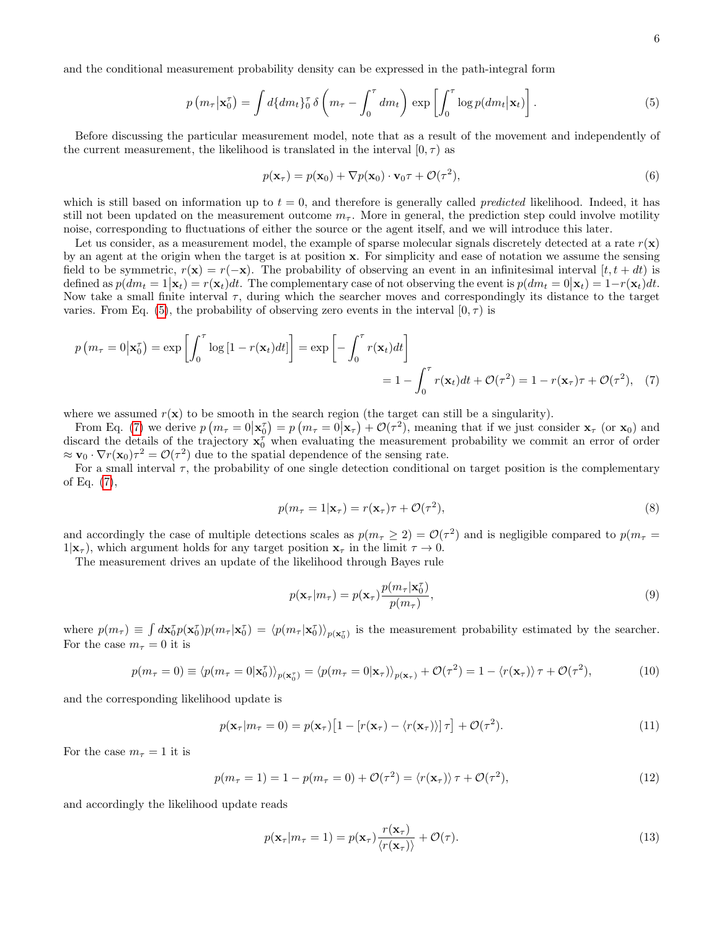and the conditional measurement probability density can be expressed in the path-integral form

<span id="page-5-0"></span>
$$
p(m_{\tau}|\mathbf{x}_0^{\tau}) = \int d\{dm_t\}_0^{\tau} \delta\left(m_{\tau} - \int_0^{\tau} dm_t\right) \exp\left[\int_0^{\tau} \log p(dm_t|\mathbf{x}_t)\right].
$$
 (5)

Before discussing the particular measurement model, note that as a result of the movement and independently of the current measurement, the likelihood is translated in the interval  $[0, \tau)$  as

$$
p(\mathbf{x}_{\tau}) = p(\mathbf{x}_0) + \nabla p(\mathbf{x}_0) \cdot \mathbf{v}_0 \tau + \mathcal{O}(\tau^2),
$$
\n(6)

which is still based on information up to  $t = 0$ , and therefore is generally called *predicted* likelihood. Indeed, it has still not been updated on the measurement outcome  $m_{\tau}$ . More in general, the prediction step could involve motility noise, corresponding to fluctuations of either the source or the agent itself, and we will introduce this later.

Let us consider, as a measurement model, the example of sparse molecular signals discretely detected at a rate  $r(\mathbf{x})$ by an agent at the origin when the target is at position x. For simplicity and ease of notation we assume the sensing field to be symmetric,  $r(\mathbf{x}) = r(-\mathbf{x})$ . The probability of observing an event in an infinitesimal interval  $[t, t + dt)$  is defined as  $p(dm_t = 1|\mathbf{x}_t) = r(\mathbf{x}_t)dt$ . The complementary case of not observing the event is  $p(dm_t = 0|\mathbf{x}_t) = 1-r(\mathbf{x}_t)dt$ . Now take a small finite interval  $\tau$ , during which the searcher moves and correspondingly its distance to the target varies. From Eq. [\(5\)](#page-5-0), the probability of observing zero events in the interval  $[0, \tau)$  is

$$
p(m_{\tau} = 0 | \mathbf{x}_{0}^{\tau}) = \exp\left[\int_{0}^{\tau} \log\left[1 - r(\mathbf{x}_{t})dt\right]\right] = \exp\left[-\int_{0}^{\tau} r(\mathbf{x}_{t})dt\right]
$$

$$
= 1 - \int_{0}^{\tau} r(\mathbf{x}_{t})dt + \mathcal{O}(\tau^{2}) = 1 - r(\mathbf{x}_{\tau})\tau + \mathcal{O}(\tau^{2}), \quad (7)
$$

where we assumed  $r(\mathbf{x})$  to be smooth in the search region (the target can still be a singularity).

From Eq. [\(7\)](#page-5-1) we derive  $p(m_\tau = 0 | \mathbf{x}_\tau) = p(m_\tau = 0 | \mathbf{x}_\tau) + \mathcal{O}(\tau^2)$ , meaning that if we just consider  $\mathbf{x}_\tau$  (or  $\mathbf{x}_0$ ) and discard the details of the trajectory  $x_0^{\tau}$  when evaluating the measurement probability we commit an error of order  $\approx \mathbf{v}_0 \cdot \nabla r(\mathbf{x}_0)\tau^2 = \mathcal{O}(\tau^2)$  due to the spatial dependence of the sensing rate.

For a small interval  $\tau$ , the probability of one single detection conditional on target position is the complementary of Eq. [\(7\)](#page-5-1),

<span id="page-5-1"></span>
$$
p(m_{\tau} = 1 | \mathbf{x}_{\tau}) = r(\mathbf{x}_{\tau})\tau + \mathcal{O}(\tau^2),
$$
\n(8)

and accordingly the case of multiple detections scales as  $p(m_\tau \geq 2) = \mathcal{O}(\tau^2)$  and is negligible compared to  $p(m_\tau =$  $1|\mathbf{x}_{\tau}|$ , which argument holds for any target position  $\mathbf{x}_{\tau}$  in the limit  $\tau \to 0$ .

The measurement drives an update of the likelihood through Bayes rule

$$
p(\mathbf{x}_{\tau}|m_{\tau}) = p(\mathbf{x}_{\tau}) \frac{p(m_{\tau}|\mathbf{x}_{0}^{\tau})}{p(m_{\tau})},
$$
\n(9)

where  $p(m_{\tau}) \equiv \int d\mathbf{x}_0^{\tau} p(\mathbf{x}_0^{\tau}) p(m_{\tau}|\mathbf{x}_0^{\tau}) = \langle p(m_{\tau}|\mathbf{x}_0^{\tau}) \rangle_{p(\mathbf{x}_0^{\tau})}$  is the measurement probability estimated by the searcher. For the case  $m_{\tau} = 0$  it is

$$
p(m_{\tau} = 0) \equiv \langle p(m_{\tau} = 0 | \mathbf{x}_{0}^{\tau}) \rangle_{p(\mathbf{x}_{0}^{\tau})} = \langle p(m_{\tau} = 0 | \mathbf{x}_{\tau}) \rangle_{p(\mathbf{x}_{\tau})} + \mathcal{O}(\tau^{2}) = 1 - \langle r(\mathbf{x}_{\tau}) \rangle \tau + \mathcal{O}(\tau^{2}), \tag{10}
$$

and the corresponding likelihood update is

$$
p(\mathbf{x}_{\tau}|m_{\tau}=0)=p(\mathbf{x}_{\tau})\big[1-[r(\mathbf{x}_{\tau})-\langle r(\mathbf{x}_{\tau})\rangle]\,\tau\big]+\mathcal{O}(\tau^2). \tag{11}
$$

For the case  $m_{\tau} = 1$  it is

$$
p(m_{\tau} = 1) = 1 - p(m_{\tau} = 0) + \mathcal{O}(\tau^2) = \langle r(\mathbf{x}_{\tau}) \rangle \tau + \mathcal{O}(\tau^2), \tag{12}
$$

and accordingly the likelihood update reads

$$
p(\mathbf{x}_{\tau}|m_{\tau}=1) = p(\mathbf{x}_{\tau}) \frac{r(\mathbf{x}_{\tau})}{\langle r(\mathbf{x}_{\tau}) \rangle} + \mathcal{O}(\tau). \tag{13}
$$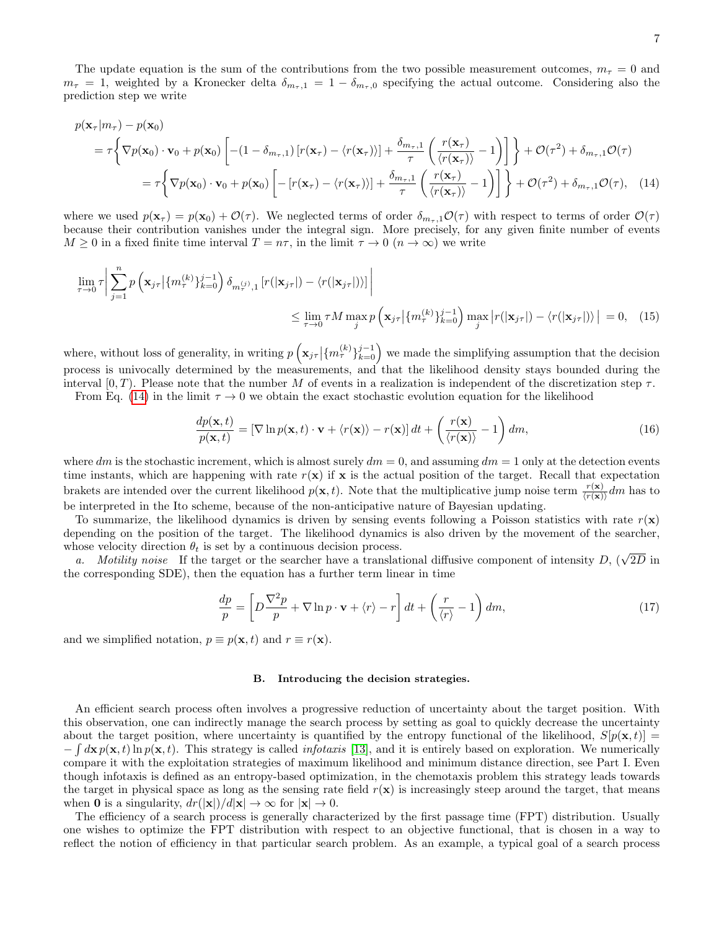The update equation is the sum of the contributions from the two possible measurement outcomes,  $m<sub>\tau</sub> = 0$  and  $m_{\tau} = 1$ , weighted by a Kronecker delta  $\delta_{m_{\tau},1} = 1 - \delta_{m_{\tau},0}$  specifying the actual outcome. Considering also the prediction step we write

$$
p(\mathbf{x}_{\tau}|m_{\tau}) - p(\mathbf{x}_{0})
$$
\n
$$
= \tau \left\{ \nabla p(\mathbf{x}_{0}) \cdot \mathbf{v}_{0} + p(\mathbf{x}_{0}) \left[ -(1 - \delta_{m_{\tau},1}) \left[ r(\mathbf{x}_{\tau}) - \langle r(\mathbf{x}_{\tau}) \rangle \right] + \frac{\delta_{m_{\tau},1}}{\tau} \left( \frac{r(\mathbf{x}_{\tau})}{\langle r(\mathbf{x}_{\tau}) \rangle} - 1 \right) \right] \right\} + \mathcal{O}(\tau^{2}) + \delta_{m_{\tau},1} \mathcal{O}(\tau)
$$
\n
$$
= \tau \left\{ \nabla p(\mathbf{x}_{0}) \cdot \mathbf{v}_{0} + p(\mathbf{x}_{0}) \left[ - \left[ r(\mathbf{x}_{\tau}) - \langle r(\mathbf{x}_{\tau}) \rangle \right] + \frac{\delta_{m_{\tau},1}}{\tau} \left( \frac{r(\mathbf{x}_{\tau})}{\langle r(\mathbf{x}_{\tau}) \rangle} - 1 \right) \right] \right\} + \mathcal{O}(\tau^{2}) + \delta_{m_{\tau},1} \mathcal{O}(\tau), \quad (14)
$$

where we used  $p(\mathbf{x}_{\tau}) = p(\mathbf{x}_0) + \mathcal{O}(\tau)$ . We neglected terms of order  $\delta_{m_{\tau},1}\mathcal{O}(\tau)$  with respect to terms of order  $\mathcal{O}(\tau)$ because their contribution vanishes under the integral sign. More precisely, for any given finite number of events  $M \geq 0$  in a fixed finite time interval  $T = n\tau$ , in the limit  $\tau \to 0$   $(n \to \infty)$  we write

$$
\lim_{\tau \to 0} \tau \bigg| \sum_{j=1}^{n} p\left(\mathbf{x}_{j\tau} \big| \{m_{\tau}^{(k)}\}_{k=0}^{j-1}\right) \delta_{m_{\tau}^{(j)},1} \left[ r(|\mathbf{x}_{j\tau}|) - \langle r(|\mathbf{x}_{j\tau}|) \rangle \right] \bigg|
$$
\n
$$
\leq \lim_{\tau \to 0} \tau M \max_{j} p\left(\mathbf{x}_{j\tau} \big| \{m_{\tau}^{(k)}\}_{k=0}^{j-1}\right) \max_{j} \left| r(|\mathbf{x}_{j\tau}|) - \langle r(|\mathbf{x}_{j\tau}|) \rangle \right| = 0, \quad (15)
$$

where, without loss of generality, in writing  $p\left(\mathbf{x}_{j\tau} | \{m_{\tau}^{(k)}\}_{k=0}^{j-1}\right)$  we made the simplifying assumption that the decision process is univocally determined by the measurements, and that the likelihood density stays bounded during the interval  $[0, T)$ . Please note that the number M of events in a realization is independent of the discretization step  $\tau$ .

From Eq. [\(14\)](#page-6-0) in the limit  $\tau \to 0$  we obtain the exact stochastic evolution equation for the likelihood

<span id="page-6-0"></span>
$$
\frac{dp(\mathbf{x},t)}{p(\mathbf{x},t)} = \left[\nabla \ln p(\mathbf{x},t) \cdot \mathbf{v} + \langle r(\mathbf{x}) \rangle - r(\mathbf{x})\right]dt + \left(\frac{r(\mathbf{x})}{\langle r(\mathbf{x}) \rangle} - 1\right)dm,\tag{16}
$$

where dm is the stochastic increment, which is almost surely  $dm = 0$ , and assuming  $dm = 1$  only at the detection events time instants, which are happening with rate  $r(\mathbf{x})$  if  $\mathbf{x}$  is the actual position of the target. Recall that expectation brakets are intended over the current likelihood  $p(\mathbf{x}, t)$ . Note that the multiplicative jump noise term  $\frac{r(\mathbf{x})}{\langle r(\mathbf{x})\rangle}dm$  has to be interpreted in the Ito scheme, because of the non-anticipative nature of Bayesian updating.

To summarize, the likelihood dynamics is driven by sensing events following a Poisson statistics with rate  $r(\mathbf{x})$ depending on the position of the target. The likelihood dynamics is also driven by the movement of the searcher, whose velocity direction  $\theta_t$  is set by a continuous decision process.

have velocity direction  $\theta_t$  is set by a continuous decision process.<br>
a. Motility noise If the target or the searcher have a translational diffusive component of intensity D, ( $\sqrt{2D}$  in the corresponding SDE), then the equation has a further term linear in time

<span id="page-6-1"></span>
$$
\frac{dp}{p} = \left[ D \frac{\nabla^2 p}{p} + \nabla \ln p \cdot \mathbf{v} + \langle r \rangle - r \right] dt + \left( \frac{r}{\langle r \rangle} - 1 \right) dm,\tag{17}
$$

and we simplified notation,  $p \equiv p(\mathbf{x}, t)$  and  $r \equiv r(\mathbf{x})$ .

# B. Introducing the decision strategies.

An efficient search process often involves a progressive reduction of uncertainty about the target position. With this observation, one can indirectly manage the search process by setting as goal to quickly decrease the uncertainty about the target position, where uncertainty is quantified by the entropy functional of the likelihood,  $S[p(\mathbf{x}, t)] =$  $-\int d\mathbf{x} p(\mathbf{x}, t) \ln p(\mathbf{x}, t)$ . This strategy is called *infotaxis* [\[13\]](#page-14-8), and it is entirely based on exploration. We numerically compare it with the exploitation strategies of maximum likelihood and minimum distance direction, see Part I. Even though infotaxis is defined as an entropy-based optimization, in the chemotaxis problem this strategy leads towards the target in physical space as long as the sensing rate field  $r(x)$  is increasingly steep around the target, that means when 0 is a singularity,  $dr(|\mathbf{x}|)/d|\mathbf{x}| \to \infty$  for  $|\mathbf{x}| \to 0$ .

The efficiency of a search process is generally characterized by the first passage time (FPT) distribution. Usually one wishes to optimize the FPT distribution with respect to an objective functional, that is chosen in a way to reflect the notion of efficiency in that particular search problem. As an example, a typical goal of a search process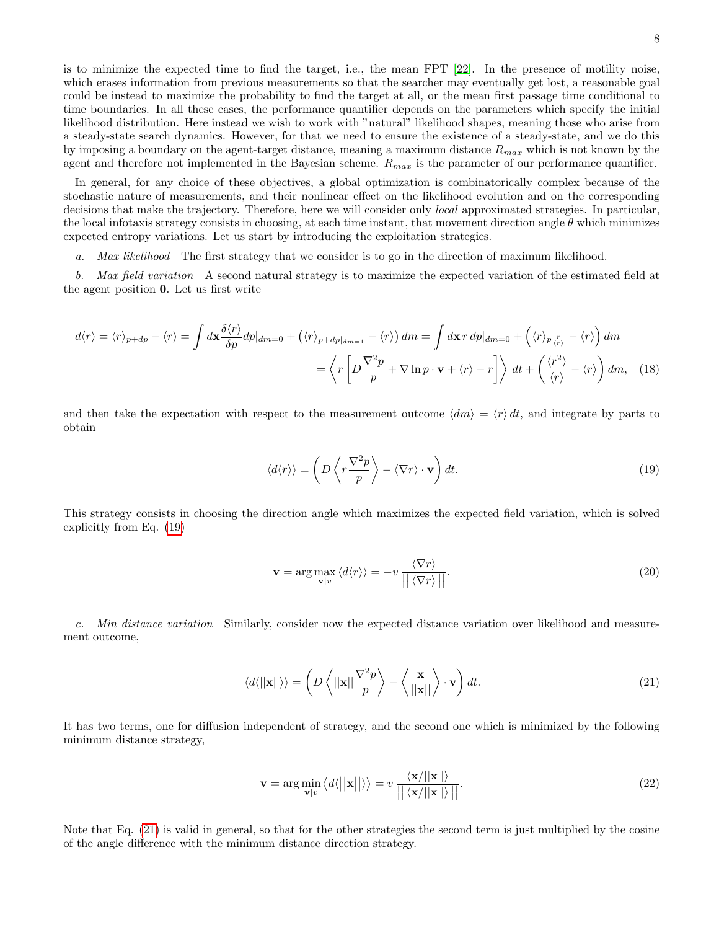is to minimize the expected time to find the target, i.e., the mean FPT [\[22\]](#page-15-1). In the presence of motility noise, which erases information from previous measurements so that the searcher may eventually get lost, a reasonable goal could be instead to maximize the probability to find the target at all, or the mean first passage time conditional to time boundaries. In all these cases, the performance quantifier depends on the parameters which specify the initial likelihood distribution. Here instead we wish to work with "natural" likelihood shapes, meaning those who arise from a steady-state search dynamics. However, for that we need to ensure the existence of a steady-state, and we do this by imposing a boundary on the agent-target distance, meaning a maximum distance  $R_{max}$  which is not known by the agent and therefore not implemented in the Bayesian scheme.  $R_{max}$  is the parameter of our performance quantifier.

In general, for any choice of these objectives, a global optimization is combinatorically complex because of the stochastic nature of measurements, and their nonlinear effect on the likelihood evolution and on the corresponding decisions that make the trajectory. Therefore, here we will consider only local approximated strategies. In particular, the local infotaxis strategy consists in choosing, at each time instant, that movement direction angle  $\theta$  which minimizes expected entropy variations. Let us start by introducing the exploitation strategies.

a. Max likelihood The first strategy that we consider is to go in the direction of maximum likelihood.

b. Max field variation A second natural strategy is to maximize the expected variation of the estimated field at the agent position 0. Let us first write

$$
d\langle r \rangle = \langle r \rangle_{p+dp} - \langle r \rangle = \int d\mathbf{x} \frac{\delta \langle r \rangle}{\delta p} dp|_{dm=0} + (\langle r \rangle_{p+dp|_{dm=1}} - \langle r \rangle) dm = \int d\mathbf{x} r dp|_{dm=0} + (\langle r \rangle_{p\frac{r}{\langle r \rangle}} - \langle r \rangle) dm
$$

$$
= \left\langle r \left[ D \frac{\nabla^2 p}{p} + \nabla \ln p \cdot \mathbf{v} + \langle r \rangle - r \right] \right\rangle dt + \left( \frac{\langle r^2 \rangle}{\langle r \rangle} - \langle r \rangle \right) dm, \quad (18)
$$

and then take the expectation with respect to the measurement outcome  $\langle dm \rangle = \langle r \rangle dt$ , and integrate by parts to obtain

<span id="page-7-1"></span>
$$
\langle d\langle r \rangle \rangle = \left( D \left\langle r \frac{\nabla^2 p}{p} \right\rangle - \left\langle \nabla r \right\rangle \cdot \mathbf{v} \right) dt. \tag{19}
$$

This strategy consists in choosing the direction angle which maximizes the expected field variation, which is solved explicitly from Eq. [\(19\)](#page-7-1)

$$
\mathbf{v} = \arg \max_{\mathbf{v} | v} \langle d \langle r \rangle \rangle = -v \frac{\langle \nabla r \rangle}{\left| \left| \langle \nabla r \rangle \right| \right|}. \tag{20}
$$

c. Min distance variation Similarly, consider now the expected distance variation over likelihood and measurement outcome,

<span id="page-7-0"></span>
$$
\langle d \langle ||\mathbf{x}|| \rangle \rangle = \left( D \left\langle ||\mathbf{x}|| \frac{\nabla^2 p}{p} \right\rangle - \left\langle \frac{\mathbf{x}}{||\mathbf{x}||} \right\rangle \cdot \mathbf{v} \right) dt. \tag{21}
$$

It has two terms, one for diffusion independent of strategy, and the second one which is minimized by the following minimum distance strategy,

$$
\mathbf{v} = \arg\min_{\mathbf{v}|v} \langle d \langle ||\mathbf{x}|| \rangle \rangle = v \frac{\langle \mathbf{x}/||\mathbf{x}|| \rangle}{||\langle \mathbf{x}/||\mathbf{x}|| \rangle||}.
$$
 (22)

Note that Eq. [\(21\)](#page-7-0) is valid in general, so that for the other strategies the second term is just multiplied by the cosine of the angle difference with the minimum distance direction strategy.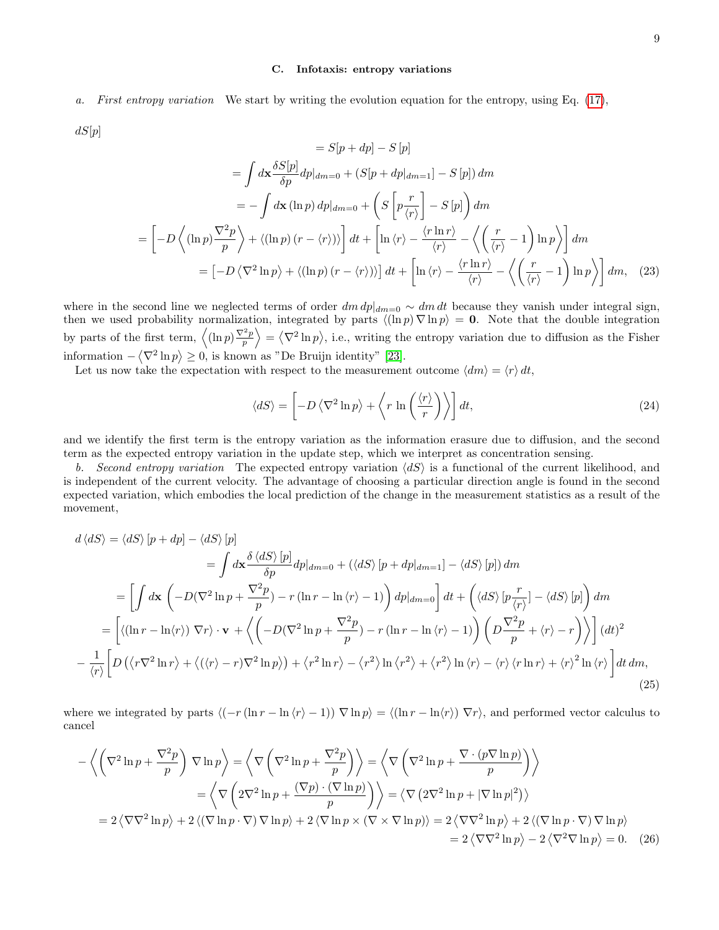## C. Infotaxis: entropy variations

a. First entropy variation We start by writing the evolution equation for the entropy, using Eq. [\(17\)](#page-6-1),  $dS[p]$ 

$$
= S[p + dp] - S[p]
$$
  
\n
$$
= \int d\mathbf{x} \frac{\delta S[p]}{\delta p} dp|_{dm=0} + (S[p + dp|_{dm=1}] - S[p]) dm
$$
  
\n
$$
= - \int d\mathbf{x} (\ln p) dp|_{dm=0} + \left( S \left[ p \frac{r}{\langle r \rangle} \right] - S[p] \right) dm
$$
  
\n
$$
= \left[ -D \left\langle (\ln p) \frac{\nabla^2 p}{p} \right\rangle + \left\langle (\ln p) (r - \langle r \rangle) \right\rangle \right] dt + \left[ \ln \langle r \rangle - \frac{\langle r \ln r \rangle}{\langle r \rangle} - \left\langle \left( \frac{r}{\langle r \rangle} - 1 \right) \ln p \right\rangle \right] dm
$$
  
\n
$$
= \left[ -D \left\langle \nabla^2 \ln p \right\rangle + \left\langle (\ln p) (r - \langle r \rangle) \right\rangle \right] dt + \left[ \ln \langle r \rangle - \frac{\langle r \ln r \rangle}{\langle r \rangle} - \left\langle \left( \frac{r}{\langle r \rangle} - 1 \right) \ln p \right\rangle \right] dm, \quad (23)
$$

where in the second line we neglected terms of order  $dm \, dp|_{dm=0} \sim dm \, dt$  because they vanish under integral sign, then we used probability normalization, integrated by parts  $\langle (\ln p) \nabla \ln p \rangle = 0$ . Note that the double integration by parts of the first term,  $\langle (\ln p) \frac{\nabla^2 p}{p} \rangle = \langle \nabla^2 \ln p \rangle$ , i.e., writing the entropy variation due to diffusion as the Fisher information  $-\langle \nabla^2 \ln p \rangle \ge 0$ , is known as "De Bruijn identity" [\[23\]](#page-15-2).

Let us now take the expectation with respect to the measurement outcome  $\langle dm \rangle = \langle r \rangle dt$ ,

$$
\langle dS \rangle = \left[ -D \left\langle \nabla^2 \ln p \right\rangle + \left\langle r \ln \left( \frac{\langle r \rangle}{r} \right) \right\rangle \right] dt, \tag{24}
$$

and we identify the first term is the entropy variation as the information erasure due to diffusion, and the second term as the expected entropy variation in the update step, which we interpret as concentration sensing.

b. Second entropy variation The expected entropy variation  $\langle dS \rangle$  is a functional of the current likelihood, and is independent of the current velocity. The advantage of choosing a particular direction angle is found in the second expected variation, which embodies the local prediction of the change in the measurement statistics as a result of the movement,

$$
d \langle dS \rangle = \langle dS \rangle [p + dp] - \langle dS \rangle [p]
$$
  
\n
$$
= \int d\mathbf{x} \frac{\delta \langle dS \rangle [p]}{\delta p} dp |_{dm=0} + (\langle dS \rangle [p + dp |_{dm=1}] - \langle dS \rangle [p]) dm
$$
  
\n
$$
= \left[ \int d\mathbf{x} \left( -D(\nabla^2 \ln p + \frac{\nabla^2 p}{p}) - r (\ln r - \ln \langle r \rangle - 1) \right) dp |_{dm=0} \right] dt + \left( \langle dS \rangle [p \frac{r}{\langle r \rangle}] - \langle dS \rangle [p] \right) dm
$$
  
\n
$$
= \left[ \langle (\ln r - \ln \langle r \rangle) \nabla r \rangle \cdot \mathbf{v} + \langle \left( -D(\nabla^2 \ln p + \frac{\nabla^2 p}{p}) - r (\ln r - \ln \langle r \rangle - 1) \right) \left( D \frac{\nabla^2 p}{p} + \langle r \rangle - r \right) \rangle \right] (dt)^2
$$
  
\n
$$
- \frac{1}{\langle r \rangle} \left[ D \left( \langle r \nabla^2 \ln r \rangle + \langle (\langle r \rangle - r) \nabla^2 \ln p \rangle \right) + \langle r^2 \ln r \rangle - \langle r^2 \rangle \ln \langle r^2 \rangle + \langle r^2 \rangle \ln \langle r \rangle - \langle r \rangle \langle r \ln r \rangle + \langle r \rangle^2 \ln \langle r \rangle \right] dt dm,
$$
\n(25)

where we integrated by parts  $\langle (-r (\ln r - \ln \langle r \rangle - 1)) \nabla \ln p \rangle = \langle (\ln r - \ln \langle r \rangle) \nabla r \rangle$ , and performed vector calculus to cancel

$$
-\left\langle \left(\nabla^2 \ln p + \frac{\nabla^2 p}{p}\right) \nabla \ln p \right\rangle = \left\langle \nabla \left(\nabla^2 \ln p + \frac{\nabla^2 p}{p}\right) \right\rangle = \left\langle \nabla \left(\nabla^2 \ln p + \frac{\nabla \cdot (p \nabla \ln p)}{p}\right) \right\rangle
$$
  
\n
$$
= \left\langle \nabla \left(2\nabla^2 \ln p + \frac{(\nabla p) \cdot (\nabla \ln p)}{p}\right)\right\rangle = \left\langle \nabla (2\nabla^2 \ln p + |\nabla \ln p|^2) \right\rangle
$$
  
\n
$$
= 2 \left\langle \nabla \nabla^2 \ln p \right\rangle + 2 \left\langle (\nabla \ln p \cdot \nabla) \nabla \ln p \right\rangle + 2 \left\langle \nabla \ln p \times (\nabla \times \nabla \ln p) \right\rangle = 2 \left\langle \nabla \nabla^2 \ln p \right\rangle + 2 \left\langle (\nabla \ln p \cdot \nabla) \nabla \ln p \right\rangle
$$
  
\n
$$
= 2 \left\langle \nabla \nabla^2 \ln p \right\rangle - 2 \left\langle \nabla^2 \nabla \ln p \right\rangle = 0. \quad (26)
$$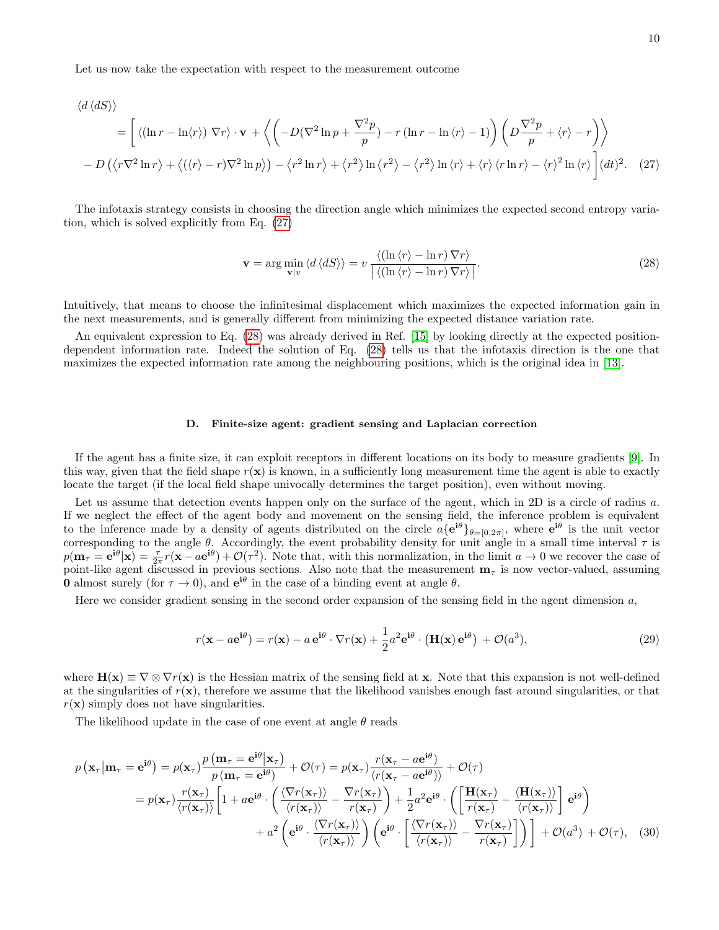Let us now take the expectation with respect to the measurement outcome

$$
\langle d \langle dS \rangle \rangle
$$
\n
$$
= \left[ \langle (\ln r - \ln \langle r \rangle) \nabla r \rangle \cdot \mathbf{v} + \langle \left( -D (\nabla^2 \ln p + \frac{\nabla^2 p}{p}) - r (\ln r - \ln \langle r \rangle - 1) \right) \left( D \frac{\nabla^2 p}{p} + \langle r \rangle - r \right) \rangle \right.
$$
\n
$$
- D \left( \langle r \nabla^2 \ln r \rangle + \langle (\langle r \rangle - r) \nabla^2 \ln p \rangle \right) - \langle r^2 \ln r \rangle + \langle r^2 \rangle \ln \langle r^2 \rangle - \langle r^2 \rangle \ln \langle r \rangle + \langle r \rangle \langle r \ln r \rangle - \langle r \rangle^2 \ln \langle r \rangle \right] (dt)^2. \tag{27}
$$

The infotaxis strategy consists in choosing the direction angle which minimizes the expected second entropy variation, which is solved explicitly from Eq. [\(27\)](#page-9-0)

<span id="page-9-1"></span><span id="page-9-0"></span>
$$
\mathbf{v} = \arg\min_{\mathbf{v}|v} \langle d \langle dS \rangle \rangle = v \frac{\langle (\ln \langle r \rangle - \ln r) \nabla r \rangle}{|\langle (\ln \langle r \rangle - \ln r) \nabla r \rangle|}.
$$
 (28)

Intuitively, that means to choose the infinitesimal displacement which maximizes the expected information gain in the next measurements, and is generally different from minimizing the expected distance variation rate.

An equivalent expression to Eq. [\(28\)](#page-9-1) was already derived in Ref. [\[15\]](#page-14-10) by looking directly at the expected positiondependent information rate. Indeed the solution of Eq. [\(28\)](#page-9-1) tells us that the infotaxis direction is the one that maximizes the expected information rate among the neighbouring positions, which is the original idea in [\[13\]](#page-14-8).

## D. Finite-size agent: gradient sensing and Laplacian correction

If the agent has a finite size, it can exploit receptors in different locations on its body to measure gradients [\[9\]](#page-14-11). In this way, given that the field shape  $r(\mathbf{x})$  is known, in a sufficiently long measurement time the agent is able to exactly locate the target (if the local field shape univocally determines the target position), even without moving.

Let us assume that detection events happen only on the surface of the agent, which in 2D is a circle of radius a. If we neglect the effect of the agent body and movement on the sensing field, the inference problem is equivalent to the inference made by a density of agents distributed on the circle  $a\{e^{i\theta}\}_{\theta=[0,2\pi]}$ , where  $e^{i\theta}$  is the unit vector corresponding to the angle  $\theta$ . Accordingly, the event probability density for unit angle in a small time interval  $\tau$  is  $p(\mathbf{m}_{\tau} = \mathbf{e}^{\mathbf{i}\theta} | \mathbf{x}) = \frac{\tau}{2\pi} r(\mathbf{x} - a\mathbf{e}^{\mathbf{i}\theta}) + \mathcal{O}(\tau^2)$ . Note that, with this normalization, in the limit  $a \to 0$  we recover the case of point-like agent discussed in previous sections. Also note that the measurement  $m<sub>\tau</sub>$  is now vector-valued, assuming **0** almost surely (for  $\tau \to 0$ ), and  $e^{i\theta}$  in the case of a binding event at angle  $\theta$ .

Here we consider gradient sensing in the second order expansion of the sensing field in the agent dimension a,

<span id="page-9-2"></span>
$$
r(\mathbf{x} - a\mathbf{e}^{\mathbf{i}\theta}) = r(\mathbf{x}) - a\mathbf{e}^{\mathbf{i}\theta} \cdot \nabla r(\mathbf{x}) + \frac{1}{2}a^2 \mathbf{e}^{\mathbf{i}\theta} \cdot (\mathbf{H}(\mathbf{x})\mathbf{e}^{\mathbf{i}\theta}) + \mathcal{O}(a^3),\tag{29}
$$

where  $\mathbf{H}(\mathbf{x}) \equiv \nabla \otimes \nabla r(\mathbf{x})$  is the Hessian matrix of the sensing field at **x**. Note that this expansion is not well-defined at the singularities of  $r(\mathbf{x})$ , therefore we assume that the likelihood vanishes enough fast around singularities, or that  $r(\mathbf{x})$  simply does not have singularities.

The likelihood update in the case of one event at angle  $\theta$  reads

$$
p\left(\mathbf{x}_{\tau}|\mathbf{m}_{\tau}=\mathbf{e}^{i\theta}\right)=p(\mathbf{x}_{\tau})\frac{p\left(\mathbf{m}_{\tau}=\mathbf{e}^{i\theta}|\mathbf{x}_{\tau}\right)}{p\left(\mathbf{m}_{\tau}=\mathbf{e}^{i\theta}\right)}+\mathcal{O}(\tau)=p(\mathbf{x}_{\tau})\frac{r(\mathbf{x}_{\tau}-a\mathbf{e}^{i\theta})}{\langle r(\mathbf{x}_{\tau}-a\mathbf{e}^{i\theta})\rangle}+\mathcal{O}(\tau)
$$

$$
=p(\mathbf{x}_{\tau})\frac{r(\mathbf{x}_{\tau})}{\langle r(\mathbf{x}_{\tau})\rangle}\left[1+a\mathbf{e}^{i\theta}\cdot\left(\frac{\langle\nabla r(\mathbf{x}_{\tau})\rangle}{\langle r(\mathbf{x}_{\tau})\rangle}-\frac{\nabla r(\mathbf{x}_{\tau})}{r(\mathbf{x}_{\tau})}\right)+\frac{1}{2}a^{2}\mathbf{e}^{i\theta}\cdot\left(\left[\frac{\mathbf{H}(\mathbf{x}_{\tau})}{r(\mathbf{x}_{\tau})}-\frac{\langle\mathbf{H}(\mathbf{x}_{\tau})\rangle}{\langle r(\mathbf{x}_{\tau})\rangle}\right]\mathbf{e}^{i\theta}\right)
$$

$$
+a^{2}\left(\mathbf{e}^{i\theta}\cdot\frac{\langle\nabla r(\mathbf{x}_{\tau})\rangle}{\langle r(\mathbf{x}_{\tau})\rangle}\right)\left(\mathbf{e}^{i\theta}\cdot\left[\frac{\langle\nabla r(\mathbf{x}_{\tau})\rangle}{\langle r(\mathbf{x}_{\tau})\rangle}-\frac{\nabla r(\mathbf{x}_{\tau})}{r(\mathbf{x}_{\tau})}\right]\right)\right]+\mathcal{O}(a^{3})+\mathcal{O}(\tau), \quad (30)
$$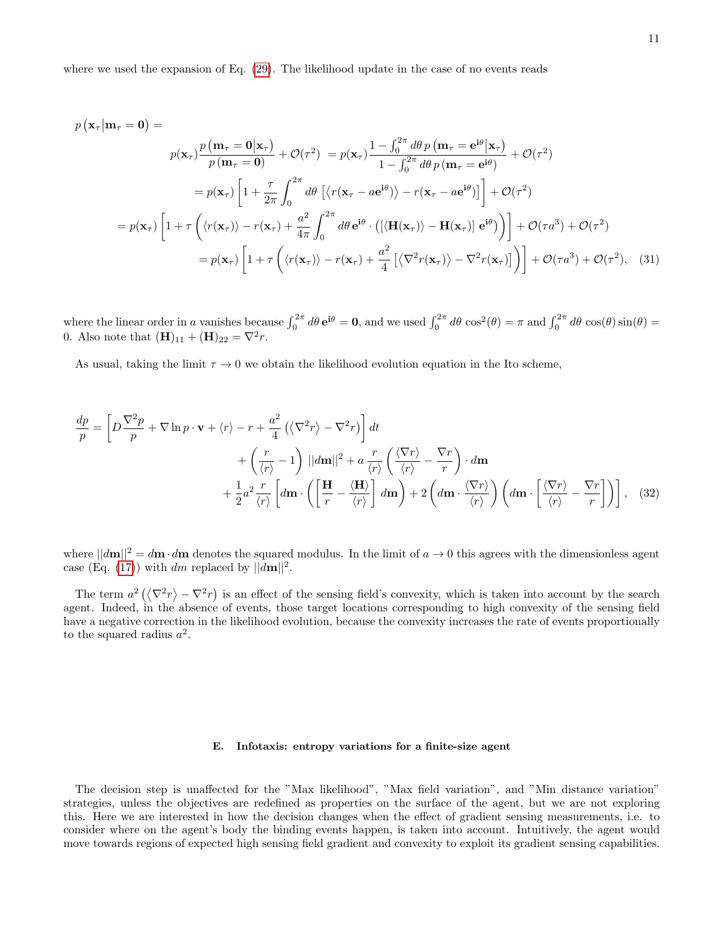where we used the expansion of Eq. [\(29\)](#page-9-2). The likelihood update in the case of no events reads

$$
p(\mathbf{x}_{\tau}|\mathbf{m}_{\tau} = \mathbf{0}) =
$$
  
\n
$$
p(\mathbf{x}_{\tau})\frac{p(\mathbf{m}_{\tau} = \mathbf{0}|\mathbf{x}_{\tau})}{p(\mathbf{m}_{\tau} = \mathbf{0})} + \mathcal{O}(\tau^{2}) = p(\mathbf{x}_{\tau})\frac{1 - \int_{0}^{2\pi}d\theta p(\mathbf{m}_{\tau} = \mathbf{e}^{i\theta}|\mathbf{x}_{\tau})}{1 - \int_{0}^{2\pi}d\theta p(\mathbf{m}_{\tau} = \mathbf{e}^{i\theta})} + \mathcal{O}(\tau^{2})
$$
  
\n
$$
= p(\mathbf{x}_{\tau})\left[1 + \frac{\tau}{2\pi}\int_{0}^{2\pi}d\theta\left[\langle r(\mathbf{x}_{\tau} - a\mathbf{e}^{i\theta})\rangle - r(\mathbf{x}_{\tau} - a\mathbf{e}^{i\theta})\right]\right] + \mathcal{O}(\tau^{2})
$$
  
\n
$$
= p(\mathbf{x}_{\tau})\left[1 + \tau\left(\langle r(\mathbf{x}_{\tau})\rangle - r(\mathbf{x}_{\tau}) + \frac{a^{2}}{4\pi}\int_{0}^{2\pi}d\theta\,\mathbf{e}^{i\theta}\cdot\left(\left[\langle \mathbf{H}(\mathbf{x}_{\tau})\rangle - \mathbf{H}(\mathbf{x}_{\tau})\right]\right] + \mathcal{O}(\tau a^{3}) + \mathcal{O}(\tau^{2})\right]
$$
  
\n
$$
= p(\mathbf{x}_{\tau})\left[1 + \tau\left(\langle r(\mathbf{x}_{\tau})\rangle - r(\mathbf{x}_{\tau}) + \frac{a^{2}}{4}\left[\langle \nabla^{2}r(\mathbf{x}_{\tau})\rangle - \nabla^{2}r(\mathbf{x}_{\tau})\right]\right)\right] + \mathcal{O}(\tau a^{3}) + \mathcal{O}(\tau^{2}), \quad (31)
$$

where the linear order in a vanishes because  $\int_0^{2\pi} d\theta \, \mathbf{e}^{i\theta} = \mathbf{0}$ , and we used  $\int_0^{2\pi} d\theta \, \cos^2(\theta) = \pi$  and  $\int_0^{2\pi} d\theta \, \cos(\theta) \sin(\theta) =$ 0. Also note that  $(H)_{11} + (H)_{22} = \nabla^2 r$ .

As usual, taking the limit  $\tau \to 0$  we obtain the likelihood evolution equation in the Ito scheme,

$$
\frac{dp}{p} = \left[ D \frac{\nabla^2 p}{p} + \nabla \ln p \cdot \mathbf{v} + \langle r \rangle - r + \frac{a^2}{4} \left( \langle \nabla^2 r \rangle - \nabla^2 r \right) \right] dt \n+ \left( \frac{r}{\langle r \rangle} - 1 \right) ||d\mathbf{m}||^2 + a \frac{r}{\langle r \rangle} \left( \frac{\langle \nabla r \rangle}{\langle r \rangle} - \frac{\nabla r}{r} \right) \cdot d\mathbf{m} \n+ \frac{1}{2} a^2 \frac{r}{\langle r \rangle} \left[ d\mathbf{m} \cdot \left( \left[ \frac{\mathbf{H}}{r} - \frac{\langle \mathbf{H} \rangle}{\langle r \rangle} \right] d\mathbf{m} \right) + 2 \left( d\mathbf{m} \cdot \frac{\langle \nabla r \rangle}{\langle r \rangle} \right) \left( d\mathbf{m} \cdot \left[ \frac{\langle \nabla r \rangle}{\langle r \rangle} - \frac{\nabla r}{r} \right] \right) \right], \quad (32)
$$

where  $\frac{d\mathbf{m}}{2} = d\mathbf{m} \cdot d\mathbf{m}$  denotes the squared modulus. In the limit of  $a \to 0$  this agrees with the dimensionless agent case (Eq. [\(17\)](#page-6-1)) with dm replaced by  $||d\mathbf{m}||^2$ .

The term  $a^2(\langle \nabla^2 r \rangle - \nabla^2 r)$  is an effect of the sensing field's convexity, which is taken into account by the search agent. Indeed, in the absence of events, those target locations corresponding to high convexity of the sensing field have a negative correction in the likelihood evolution, because the convexity increases the rate of events proportionally to the squared radius  $a^2$ .

### <span id="page-10-0"></span>E. Infotaxis: entropy variations for a finite-size agent

The decision step is unaffected for the "Max likelihood", "Max field variation", and "Min distance variation" strategies, unless the objectives are redefined as properties on the surface of the agent, but we are not exploring this. Here we are interested in how the decision changes when the effect of gradient sensing measurements, i.e. to consider where on the agent's body the binding events happen, is taken into account. Intuitively, the agent would move towards regions of expected high sensing field gradient and convexity to exploit its gradient sensing capabilities.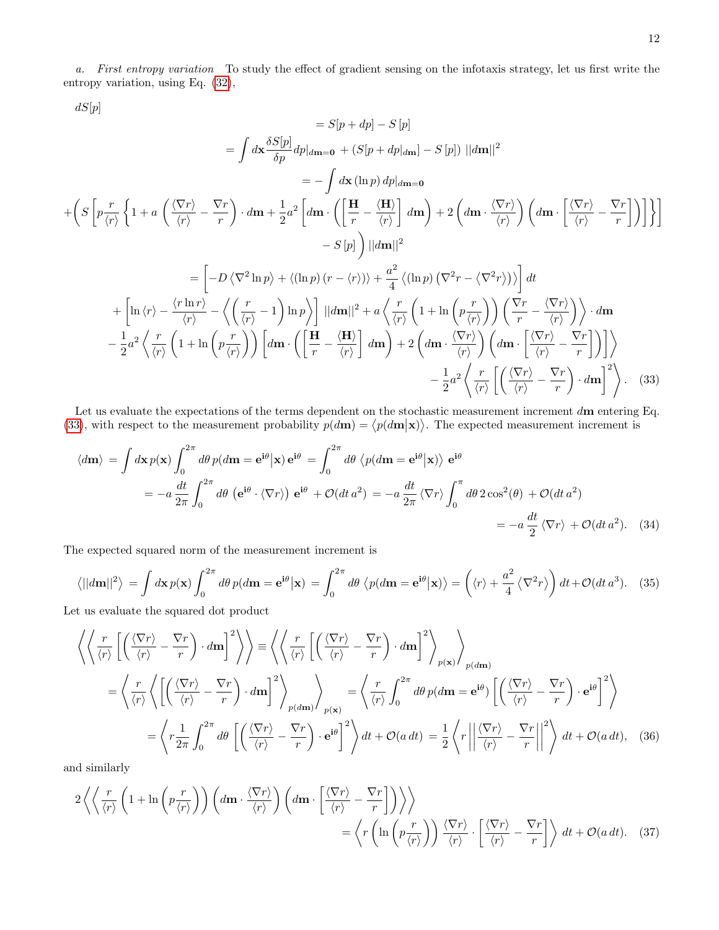a. First entropy variation To study the effect of gradient sensing on the infotaxis strategy, let us first write the entropy variation, using Eq. [\(32\)](#page-10-0),

 $dS[p]$ 

$$
= S[p + dp] - S[p]
$$
  
\n
$$
= \int d\mathbf{x} \frac{\delta S[p]}{\delta p} dp|_{d\mathbf{m} = \mathbf{0}} + (S[p + dp|_{d\mathbf{m}}] - S[p]) ||d\mathbf{m}||^{2}
$$
  
\n
$$
= -\int d\mathbf{x} (\ln p) dp|_{d\mathbf{m} = \mathbf{0}}
$$
  
\n
$$
+ \left( S\left[ p \frac{r}{\langle r \rangle} \left\{ 1 + a \left( \frac{\langle \nabla r \rangle}{\langle r \rangle} - \frac{\nabla r}{r} \right) \cdot d\mathbf{m} + \frac{1}{2} a^{2} \left[ d\mathbf{m} \cdot \left( \left[ \frac{\mathbf{H}}{r} - \frac{\langle \mathbf{H} \rangle}{\langle r \rangle} \right] d\mathbf{m} \right) + 2 \left( d\mathbf{m} \cdot \frac{\langle \nabla r \rangle}{\langle r \rangle} \right) \left( d\mathbf{m} \cdot \left[ \frac{\langle \nabla r \rangle}{\langle r \rangle} - \frac{\nabla r}{r} \right] \right) \right] \right\}
$$
  
\n
$$
- S[p] \right) ||d\mathbf{m}||^{2}
$$
  
\n
$$
= \left[ -D \langle \nabla^{2} \ln p \rangle + \langle (\ln p) (r - \langle r \rangle) \rangle + \frac{a^{2}}{4} \langle (\ln p) (\nabla^{2} r - \langle \nabla^{2} r \rangle) \rangle \right] dt
$$
  
\n
$$
+ \left[ \ln \langle r \rangle - \frac{\langle r \ln r \rangle}{\langle r \rangle} - \left\langle \left( \frac{r}{\langle r \rangle} - 1 \right) \ln p \right\rangle \right] ||d\mathbf{m}||^{2} + a \left\langle \frac{r}{\langle r \rangle} \left( 1 + \ln \left( p \frac{r}{\langle r \rangle} \right) \right) \left( \frac{\nabla r}{r} - \frac{\langle \nabla r \rangle}{\langle r \rangle} \right) \right\rangle \cdot d\mathbf{m}
$$
  
\n
$$
- \frac{1}{2} a^{2} \left\langle \frac{r}{\langle r \rangle} \left( 1 + \ln \left( p \frac{r}{\langle r \rangle} \right) \right) \left[ d
$$

Let us evaluate the expectations of the terms dependent on the stochastic measurement increment dm entering Eq. [\(33\)](#page-11-0), with respect to the measurement probability  $p(d\mathbf{m}) = \langle p(d\mathbf{m}|\mathbf{x}) \rangle$ . The expected measurement increment is

<span id="page-11-0"></span>
$$
\langle d\mathbf{m} \rangle = \int d\mathbf{x} \, p(\mathbf{x}) \int_0^{2\pi} d\theta \, p(d\mathbf{m} = \mathbf{e}^{\mathbf{i}\theta} | \mathbf{x}) \, \mathbf{e}^{\mathbf{i}\theta} = \int_0^{2\pi} d\theta \, \langle p(d\mathbf{m} = \mathbf{e}^{\mathbf{i}\theta} | \mathbf{x}) \rangle \, \mathbf{e}^{\mathbf{i}\theta}
$$
\n
$$
= -a \frac{dt}{2\pi} \int_0^{2\pi} d\theta \, (\mathbf{e}^{\mathbf{i}\theta} \cdot \langle \nabla r \rangle) \, \mathbf{e}^{\mathbf{i}\theta} + \mathcal{O}(dt \, a^2) = -a \frac{dt}{2\pi} \langle \nabla r \rangle \int_0^{\pi} d\theta \, 2 \cos^2(\theta) + \mathcal{O}(dt \, a^2)
$$
\n
$$
= -a \frac{dt}{2} \langle \nabla r \rangle + \mathcal{O}(dt \, a^2). \tag{34}
$$

The expected squared norm of the measurement increment is

$$
\langle ||d\mathbf{m}||^2 \rangle = \int d\mathbf{x} \, p(\mathbf{x}) \int_0^{2\pi} d\theta \, p(d\mathbf{m} = \mathbf{e}^{\mathbf{i}\theta} | \mathbf{x}) = \int_0^{2\pi} d\theta \, \langle p(d\mathbf{m} = \mathbf{e}^{\mathbf{i}\theta} | \mathbf{x}) \rangle = \left( \langle r \rangle + \frac{a^2}{4} \langle \nabla^2 r \rangle \right) dt + \mathcal{O}(dt \, a^3). \tag{35}
$$

Let us evaluate the squared dot product

$$
\left\langle \left\langle \frac{r}{\langle r \rangle} \left[ \left( \frac{\langle \nabla r \rangle}{\langle r \rangle} - \frac{\nabla r}{r} \right) \cdot d\mathbf{m} \right]^2 \right\rangle \right\rangle = \left\langle \left\langle \frac{r}{\langle r \rangle} \left[ \left( \frac{\langle \nabla r \rangle}{\langle r \rangle} - \frac{\nabla r}{r} \right) \cdot d\mathbf{m} \right]^2 \right\rangle_{p(\mathbf{x})} \right\rangle_{p(\mathbf{dm})}
$$
  
\n
$$
= \left\langle \frac{r}{\langle r \rangle} \left\langle \left[ \left( \frac{\langle \nabla r \rangle}{\langle r \rangle} - \frac{\nabla r}{r} \right) \cdot d\mathbf{m} \right]^2 \right\rangle_{p(\mathbf{dm})} \right\rangle_{p(\mathbf{x})} = \left\langle \frac{r}{\langle r \rangle} \int_0^{2\pi} d\theta \, p(d\mathbf{m} = \mathbf{e}^{\mathbf{i}\theta}) \left[ \left( \frac{\langle \nabla r \rangle}{\langle r \rangle} - \frac{\nabla r}{r} \right) \cdot \mathbf{e}^{\mathbf{i}\theta} \right]^2 \right\rangle
$$
  
\n
$$
= \left\langle r \frac{1}{2\pi} \int_0^{2\pi} d\theta \left[ \left( \frac{\langle \nabla r \rangle}{\langle r \rangle} - \frac{\nabla r}{r} \right) \cdot \mathbf{e}^{\mathbf{i}\theta} \right]^2 \right\rangle dt + \mathcal{O}(a dt) = \frac{1}{2} \left\langle r \left| \left| \frac{\langle \nabla r \rangle}{\langle r \rangle} - \frac{\nabla r}{r} \right| \right|^2 \right\rangle dt + \mathcal{O}(a dt), \quad (36)
$$

and similarly

$$
2\left\langle \left\langle \frac{r}{\langle r \rangle} \left(1 + \ln\left(p\frac{r}{\langle r \rangle}\right)\right) \left(d\mathbf{m} \cdot \frac{\langle \nabla r \rangle}{\langle r \rangle}\right) \left(d\mathbf{m} \cdot \frac{\langle \nabla r \rangle}{\langle r \rangle} - \frac{\nabla r}{r}\right] \right) \right\rangle \right\rangle
$$
  
= 
$$
\left\langle r \left(\ln\left(p\frac{r}{\langle r \rangle}\right)\right) \frac{\langle \nabla r \rangle}{\langle r \rangle} \cdot \left[\frac{\langle \nabla r \rangle}{\langle r \rangle} - \frac{\nabla r}{r}\right] \right\rangle dt + \mathcal{O}(a dt). \quad (37)
$$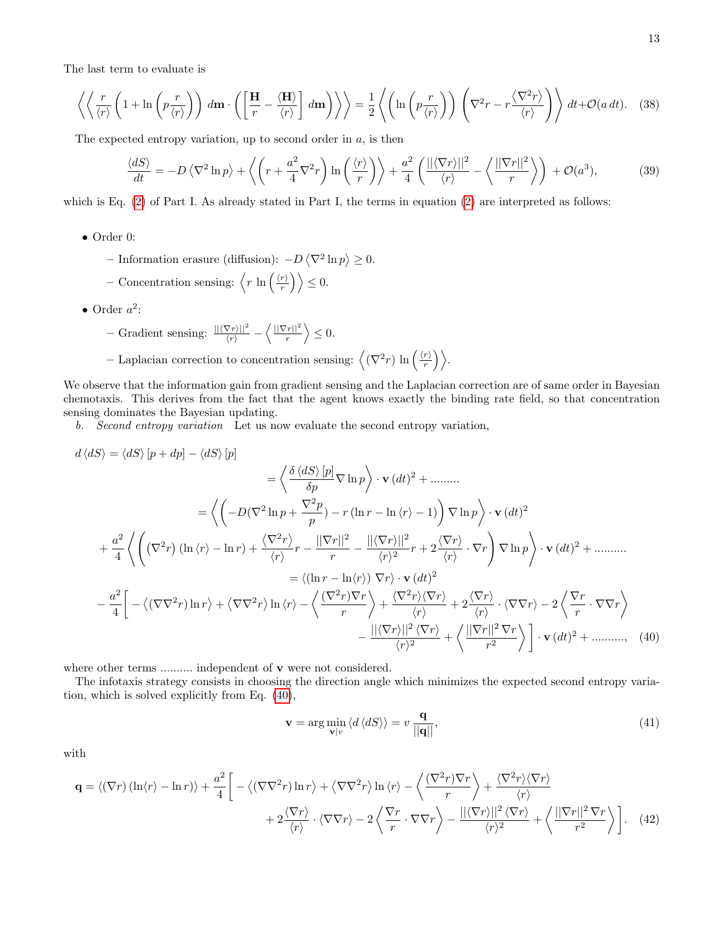The last term to evaluate is

$$
\left\langle \left\langle \frac{r}{\langle r \rangle} \left( 1 + \ln \left( p \frac{r}{\langle r \rangle} \right) \right) d\mathbf{m} \cdot \left( \left[ \frac{\mathbf{H}}{r} - \frac{\langle \mathbf{H} \rangle}{\langle r \rangle} \right] d\mathbf{m} \right) \right\rangle \right\rangle = \frac{1}{2} \left\langle \left( \ln \left( p \frac{r}{\langle r \rangle} \right) \right) \left( \nabla^2 r - r \frac{\langle \nabla^2 r \rangle}{\langle r \rangle} \right) \right\rangle dt + \mathcal{O}(a \, dt). \tag{38}
$$

The expected entropy variation, up to second order in  $a$ , is then

$$
\frac{\langle dS \rangle}{dt} = -D \left\langle \nabla^2 \ln p \right\rangle + \left\langle \left( r + \frac{a^2}{4} \nabla^2 r \right) \ln \left( \frac{\langle r \rangle}{r} \right) \right\rangle + \frac{a^2}{4} \left( \frac{\| \langle \nabla r \rangle \|^2}{\langle r \rangle} - \left\langle \frac{\| \nabla r \|^2}{r} \right\rangle \right) + \mathcal{O}(a^3),\tag{39}
$$

which is Eq. [\(2\)](#page-1-1) of Part I. As already stated in Part I, the terms in equation (2) are interpreted as follows:

- Order 0:
	- Information erasure (diffusion):  $-D \langle \nabla^2 \ln p \rangle \ge 0$ .
	- Concentration sensing:  $\langle r \ln \left( \frac{\langle r \rangle}{r} \right)$  $\left\langle \frac{r}{r} \right\rangle \geq 0.$
- Order  $a^2$ :

- Gradient sensing: 
$$
\frac{||\langle \nabla r \rangle||^2}{\langle r \rangle} - \left\langle \frac{||\nabla r||^2}{r} \right\rangle \leq 0.
$$

– Laplacian correction to concentration sensing:  $\left\langle (\nabla^2 r) \ln \left( \frac{\langle r \rangle}{r} \right) \right\rangle$  $\frac{r\rangle}{r}\biggr)\biggr\rangle.$ 

We observe that the information gain from gradient sensing and the Laplacian correction are of same order in Bayesian chemotaxis. This derives from the fact that the agent knows exactly the binding rate field, so that concentration sensing dominates the Bayesian updating.

b. Second entropy variation Let us now evaluate the second entropy variation,

$$
d \langle dS \rangle = \langle dS \rangle [p + dp] - \langle dS \rangle [p]
$$
  
\n
$$
= \left\langle \frac{\delta \langle dS \rangle [p]}{\delta p} \nabla \ln p \right\rangle \cdot \mathbf{v} (dt)^2 + \dots \dots
$$
  
\n
$$
= \left\langle \left( -D(\nabla^2 \ln p + \frac{\nabla^2 p}{p}) - r(\ln r - \ln \langle r \rangle - 1) \right) \nabla \ln p \right\rangle \cdot \mathbf{v} (dt)^2
$$
  
\n
$$
+ \frac{a^2}{4} \left\langle \left( (\nabla^2 r)(\ln \langle r \rangle - \ln r) + \frac{\langle \nabla^2 r \rangle}{\langle r \rangle} r - \frac{||\nabla r||^2}{r} - \frac{||\langle \nabla r \rangle||^2}{\langle r \rangle^2} r + 2 \frac{\langle \nabla r \rangle}{\langle r \rangle} \cdot \nabla r \right) \nabla \ln p \right\rangle \cdot \mathbf{v} (dt)^2 + \dots \dots
$$
  
\n
$$
= \left\langle (\ln r - \ln \langle r \rangle) \nabla r \right\rangle \cdot \mathbf{v} (dt)^2
$$
  
\n
$$
- \frac{a^2}{4} \left[ -\left( (\nabla \nabla^2 r) \ln r \right) + \left( \nabla \nabla^2 r \right) \ln \langle r \rangle - \left( \frac{(\nabla^2 r) \nabla r}{r} \right) + \frac{\langle \nabla^2 r \rangle \langle \nabla r \rangle}{\langle r \rangle} + 2 \frac{\langle \nabla r \rangle}{\langle r \rangle} \cdot \langle \nabla \nabla r \rangle - 2 \left( \frac{\nabla r}{r} \cdot \nabla \nabla r \right) \right.
$$
  
\n
$$
- \frac{||\langle \nabla r|||^2 \langle \nabla r \rangle}{\langle r \rangle^2} + \left\langle \frac{||\nabla r||^2 \nabla r}{r^2} \right\rangle \right] \cdot \mathbf{v} (dt)^2 + \dots \dots \dots \quad (40)
$$

where other terms .......... independent of **v** were not considered.

The infotaxis strategy consists in choosing the direction angle which minimizes the expected second entropy variation, which is solved explicitly from Eq. [\(40\)](#page-12-0),

<span id="page-12-0"></span>
$$
\mathbf{v} = \arg\min_{\mathbf{v}|v} \langle d \langle dS \rangle \rangle = v \frac{\mathbf{q}}{\|\mathbf{q}\|},\tag{41}
$$

with

$$
\mathbf{q} = \langle (\nabla r) \left( \ln \langle r \rangle - \ln r \rangle \right) + \frac{a^2}{4} \Bigg[ - \langle (\nabla \nabla^2 r) \ln r \rangle + \langle \nabla \nabla^2 r \rangle \ln \langle r \rangle - \langle \frac{(\nabla^2 r) \nabla r}{r} \rangle + \frac{\langle \nabla^2 r \rangle \langle \nabla r \rangle}{\langle r \rangle} + 2 \frac{\langle \nabla r \rangle}{\langle r \rangle} \cdot \langle \nabla \nabla r \rangle - 2 \langle \frac{\nabla r}{r} \cdot \nabla \nabla r \rangle - \frac{\| \langle \nabla r \rangle \|^2 \langle \nabla r \rangle}{\langle r \rangle^2} + \langle \frac{\| \nabla r \|^2 \nabla r}{r^2} \rangle \Bigg]. \tag{42}
$$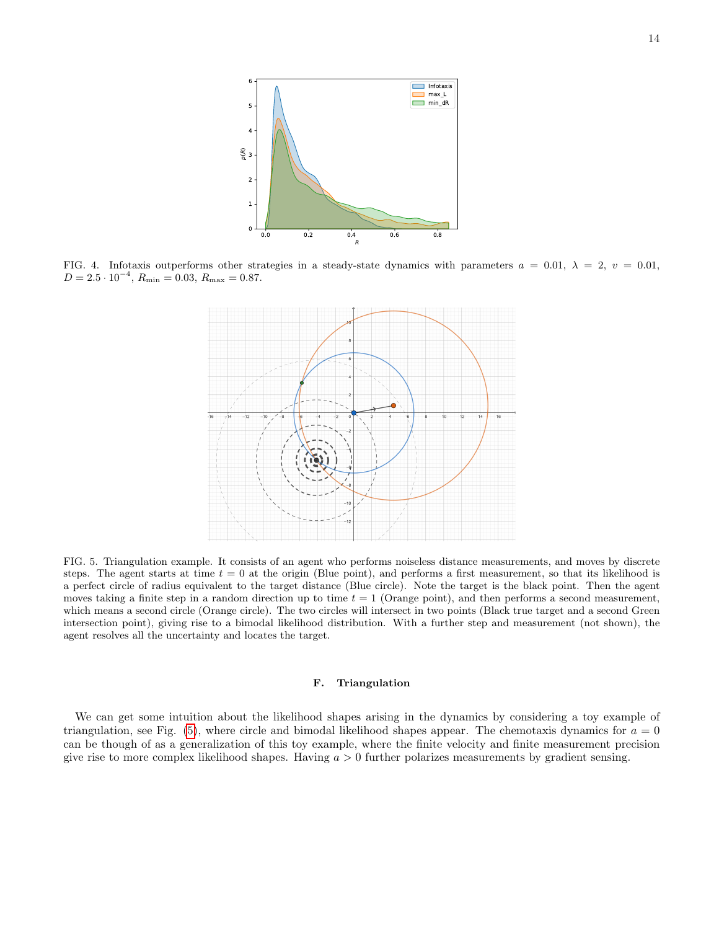

<span id="page-13-0"></span>FIG. 4. Infotaxis outperforms other strategies in a steady-state dynamics with parameters  $a = 0.01$ ,  $\lambda = 2$ ,  $v = 0.01$ ,  $D = 2.5 \cdot 10^{-4}, R_{\text{min}} = 0.03, R_{\text{max}} = 0.87.$ 



<span id="page-13-1"></span>FIG. 5. Triangulation example. It consists of an agent who performs noiseless distance measurements, and moves by discrete steps. The agent starts at time  $t = 0$  at the origin (Blue point), and performs a first measurement, so that its likelihood is a perfect circle of radius equivalent to the target distance (Blue circle). Note the target is the black point. Then the agent moves taking a finite step in a random direction up to time  $t = 1$  (Orange point), and then performs a second measurement, which means a second circle (Orange circle). The two circles will intersect in two points (Black true target and a second Green intersection point), giving rise to a bimodal likelihood distribution. With a further step and measurement (not shown), the agent resolves all the uncertainty and locates the target.

# F. Triangulation

We can get some intuition about the likelihood shapes arising in the dynamics by considering a toy example of triangulation, see Fig. [\(5\)](#page-13-1), where circle and bimodal likelihood shapes appear. The chemotaxis dynamics for  $a = 0$ can be though of as a generalization of this toy example, where the finite velocity and finite measurement precision give rise to more complex likelihood shapes. Having  $a > 0$  further polarizes measurements by gradient sensing.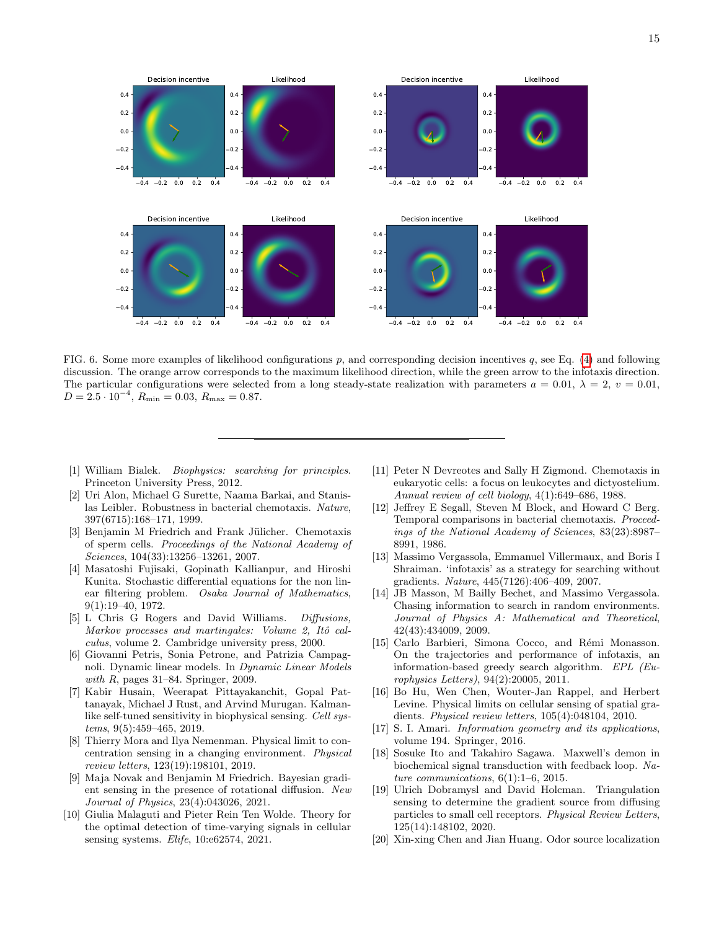

<span id="page-14-16"></span>FIG. 6. Some more examples of likelihood configurations p, and corresponding decision incentives q, see Eq. [\(4\)](#page-3-1) and following discussion. The orange arrow corresponds to the maximum likelihood direction, while the green arrow to the infotaxis direction. The particular configurations were selected from a long steady-state realization with parameters  $a = 0.01$ ,  $\lambda = 2$ ,  $v = 0.01$ .  $D = 2.5 \cdot 10^{-4}, R_{\text{min}} = 0.03, R_{\text{max}} = 0.87.$ 

- <span id="page-14-0"></span>[1] William Bialek. Biophysics: searching for principles. Princeton University Press, 2012.
- [2] Uri Alon, Michael G Surette, Naama Barkai, and Stanislas Leibler. Robustness in bacterial chemotaxis. Nature, 397(6715):168–171, 1999.
- <span id="page-14-1"></span>[3] Benjamin M Friedrich and Frank Jülicher. Chemotaxis of sperm cells. Proceedings of the National Academy of Sciences, 104(33):13256–13261, 2007.
- <span id="page-14-2"></span>[4] Masatoshi Fujisaki, Gopinath Kallianpur, and Hiroshi Kunita. Stochastic differential equations for the non linear filtering problem. Osaka Journal of Mathematics, 9(1):19–40, 1972.
- [5] L Chris G Rogers and David Williams. Diffusions, Markov processes and martingales: Volume 2, Itô calculus, volume 2. Cambridge university press, 2000.
- <span id="page-14-3"></span>[6] Giovanni Petris, Sonia Petrone, and Patrizia Campagnoli. Dynamic linear models. In Dynamic Linear Models with  $R$ , pages 31–84. Springer, 2009.
- <span id="page-14-4"></span>[7] Kabir Husain, Weerapat Pittayakanchit, Gopal Pattanayak, Michael J Rust, and Arvind Murugan. Kalmanlike self-tuned sensitivity in biophysical sensing. Cell systems, 9(5):459–465, 2019.
- <span id="page-14-15"></span>[8] Thierry Mora and Ilya Nemenman. Physical limit to concentration sensing in a changing environment. Physical review letters, 123(19):198101, 2019.
- <span id="page-14-11"></span>[9] Maja Novak and Benjamin M Friedrich. Bayesian gradient sensing in the presence of rotational diffusion. New Journal of Physics, 23(4):043026, 2021.
- <span id="page-14-5"></span>[10] Giulia Malaguti and Pieter Rein Ten Wolde. Theory for the optimal detection of time-varying signals in cellular sensing systems. Elife, 10:e62574, 2021.
- <span id="page-14-6"></span>[11] Peter N Devreotes and Sally H Zigmond. Chemotaxis in eukaryotic cells: a focus on leukocytes and dictyostelium. Annual review of cell biology, 4(1):649–686, 1988.
- <span id="page-14-7"></span>[12] Jeffrey E Segall, Steven M Block, and Howard C Berg. Temporal comparisons in bacterial chemotaxis. Proceedings of the National Academy of Sciences, 83(23):8987– 8991, 1986.
- <span id="page-14-8"></span>[13] Massimo Vergassola, Emmanuel Villermaux, and Boris I Shraiman. 'infotaxis' as a strategy for searching without gradients. Nature, 445(7126):406–409, 2007.
- <span id="page-14-9"></span>[14] JB Masson, M Bailly Bechet, and Massimo Vergassola. Chasing information to search in random environments. Journal of Physics A: Mathematical and Theoretical, 42(43):434009, 2009.
- <span id="page-14-10"></span>[15] Carlo Barbieri, Simona Cocco, and Rémi Monasson. On the trajectories and performance of infotaxis, an information-based greedy search algorithm. EPL (Europhysics Letters), 94(2):20005, 2011.
- <span id="page-14-12"></span>[16] Bo Hu, Wen Chen, Wouter-Jan Rappel, and Herbert Levine. Physical limits on cellular sensing of spatial gradients. Physical review letters, 105(4):048104, 2010.
- <span id="page-14-13"></span>[17] S. I. Amari. *Information geometry and its applications*, volume 194. Springer, 2016.
- <span id="page-14-14"></span>[18] Sosuke Ito and Takahiro Sagawa. Maxwell's demon in biochemical signal transduction with feedback loop. Nature communications,  $6(1):1-6$ , 2015.
- <span id="page-14-17"></span>[19] Ulrich Dobramysl and David Holcman. Triangulation sensing to determine the gradient source from diffusing particles to small cell receptors. Physical Review Letters, 125(14):148102, 2020.
- <span id="page-14-18"></span>[20] Xin-xing Chen and Jian Huang. Odor source localization